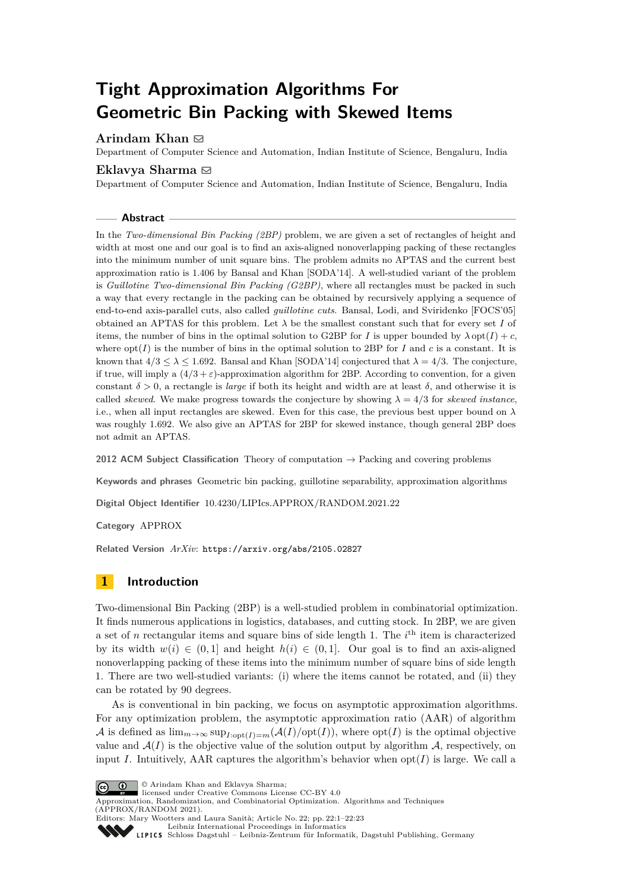# **Tight Approximation Algorithms For Geometric Bin Packing with Skewed Items**

# **Arindam Khan** ⊠

Department of Computer Science and Automation, Indian Institute of Science, Bengaluru, India

### Eklavya Sharma **⊠**

Department of Computer Science and Automation, Indian Institute of Science, Bengaluru, India

#### **Abstract**

In the *Two-dimensional Bin Packing (2BP)* problem, we are given a set of rectangles of height and width at most one and our goal is to find an axis-aligned nonoverlapping packing of these rectangles into the minimum number of unit square bins. The problem admits no APTAS and the current best approximation ratio is 1*.*406 by Bansal and Khan [SODA'14]. A well-studied variant of the problem is *Guillotine Two-dimensional Bin Packing (G2BP)*, where all rectangles must be packed in such a way that every rectangle in the packing can be obtained by recursively applying a sequence of end-to-end axis-parallel cuts, also called *guillotine cuts*. Bansal, Lodi, and Sviridenko [FOCS'05] obtained an APTAS for this problem. Let  $\lambda$  be the smallest constant such that for every set *I* of items, the number of bins in the optimal solution to G2BP for *I* is upper bounded by  $\lambda$  opt(*I*) + *c*, where  $opt(I)$  is the number of bins in the optimal solution to 2BP for *I* and *c* is a constant. It is known that  $4/3 \leq \lambda \leq 1.692$ . Bansal and Khan [SODA'14] conjectured that  $\lambda = 4/3$ . The conjecture, if true, will imply a  $(4/3 + \varepsilon)$ -approximation algorithm for 2BP. According to convention, for a given constant  $\delta > 0$ , a rectangle is *large* if both its height and width are at least  $\delta$ , and otherwise it is called *skewed*. We make progress towards the conjecture by showing  $\lambda = 4/3$  for *skewed instance*, i.e., when all input rectangles are skewed. Even for this case, the previous best upper bound on *λ* was roughly 1.692. We also give an APTAS for 2BP for skewed instance, though general 2BP does not admit an APTAS.

**2012 ACM Subject Classification** Theory of computation → Packing and covering problems

**Keywords and phrases** Geometric bin packing, guillotine separability, approximation algorithms

**Digital Object Identifier** [10.4230/LIPIcs.APPROX/RANDOM.2021.22](https://doi.org/10.4230/LIPIcs.APPROX/RANDOM.2021.22)

**Category** APPROX

**Related Version** *ArXiv*: <https://arxiv.org/abs/2105.02827>

# **1 Introduction**

Two-dimensional Bin Packing (2BP) is a well-studied problem in combinatorial optimization. It finds numerous applications in logistics, databases, and cutting stock. In 2BP, we are given a set of *n* rectangular items and square bins of side length 1. The  $i<sup>th</sup>$  item is characterized by its width  $w(i) \in (0,1]$  and height  $h(i) \in (0,1]$ . Our goal is to find an axis-aligned nonoverlapping packing of these items into the minimum number of square bins of side length 1. There are two well-studied variants: (i) where the items cannot be rotated, and (ii) they can be rotated by 90 degrees.

As is conventional in bin packing, we focus on asymptotic approximation algorithms. For any optimization problem, the asymptotic approximation ratio (AAR) of algorithm A is defined as  $\lim_{m\to\infty} \sup_{I:\text{opt}(I)=m}(\mathcal{A}(I)/\text{opt}(I))$ , where  $\text{opt}(I)$  is the optimal objective value and  $A(I)$  is the objective value of the solution output by algorithm  $A$ , respectively, on input *I*. Intuitively, AAR captures the algorithm's behavior when  $opt(I)$  is large. We call a



© Arindam Khan and Eklavya Sharma;

licensed under Creative Commons License CC-BY 4.0

Approximation, Randomization, and Combinatorial Optimization. Algorithms and Techniques (APPROX/RANDOM 2021). Editors: Mary Wootters and Laura Sanità; Article No. 22; pp. 22:1–22:23

[Leibniz International Proceedings in Informatics](https://www.dagstuhl.de/lipics/) [Schloss Dagstuhl – Leibniz-Zentrum für Informatik, Dagstuhl Publishing, Germany](https://www.dagstuhl.de)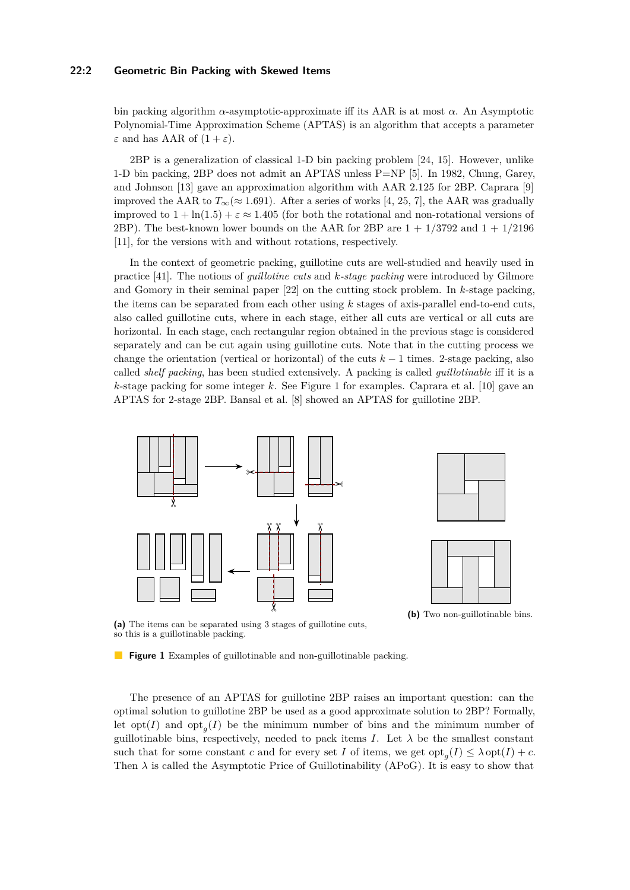### **22:2 Geometric Bin Packing with Skewed Items**

bin packing algorithm *α*-asymptotic-approximate iff its AAR is at most *α*. An Asymptotic Polynomial-Time Approximation Scheme (APTAS) is an algorithm that accepts a parameter *ε* and has AAR of  $(1 + ε)$ .

2BP is a generalization of classical 1-D bin packing problem [\[24,](#page-17-0) [15\]](#page-16-0). However, unlike 1-D bin packing, 2BP does not admit an APTAS unless P=NP [\[5\]](#page-16-1). In 1982, Chung, Garey, and Johnson [\[13\]](#page-16-2) gave an approximation algorithm with AAR 2.125 for 2BP. Caprara [\[9\]](#page-16-3) improved the AAR to  $T_{\infty}(\approx 1.691)$ . After a series of works [\[4,](#page-16-4) [25,](#page-17-1) [7\]](#page-16-5), the AAR was gradually improved to  $1 + \ln(1.5) + \varepsilon \approx 1.405$  (for both the rotational and non-rotational versions of 2BP). The best-known lower bounds on the AAR for 2BP are  $1 + 1/3792$  and  $1 + 1/2196$ [\[11\]](#page-16-6), for the versions with and without rotations, respectively.

In the context of geometric packing, guillotine cuts are well-studied and heavily used in practice [\[41\]](#page-18-0). The notions of *guillotine cuts* and *k-stage packing* were introduced by Gilmore and Gomory in their seminal paper [\[22\]](#page-17-2) on the cutting stock problem. In *k*-stage packing, the items can be separated from each other using *k* stages of axis-parallel end-to-end cuts, also called guillotine cuts, where in each stage, either all cuts are vertical or all cuts are horizontal. In each stage, each rectangular region obtained in the previous stage is considered separately and can be cut again using guillotine cuts. Note that in the cutting process we change the orientation (vertical or horizontal) of the cuts  $k-1$  times. 2-stage packing, also called *shelf packing*, has been studied extensively. A packing is called *guillotinable* iff it is a *k*-stage packing for some integer *k*. See Figure [1](#page-1-0) for examples. Caprara et al. [\[10\]](#page-16-7) gave an APTAS for 2-stage 2BP. Bansal et al. [\[8\]](#page-16-8) showed an APTAS for guillotine 2BP.

<span id="page-1-0"></span>

**(a)** The items can be separated using 3 stages of guillotine cuts, so this is a guillotinable packing.

**Figure 1** Examples of guillotinable and non-guillotinable packing.

The presence of an APTAS for guillotine 2BP raises an important question: can the optimal solution to guillotine 2BP be used as a good approximate solution to 2BP? Formally, let  $opt(I)$  and  $opt<sub>g</sub>(I)$  be the minimum number of bins and the minimum number of guillotinable bins, respectively, needed to pack items *I*. Let  $\lambda$  be the smallest constant such that for some constant *c* and for every set *I* of items, we get  $opt_g(I) \leq \lambda opt(I) + c$ . Then  $\lambda$  is called the Asymptotic Price of Guillotinability (APoG). It is easy to show that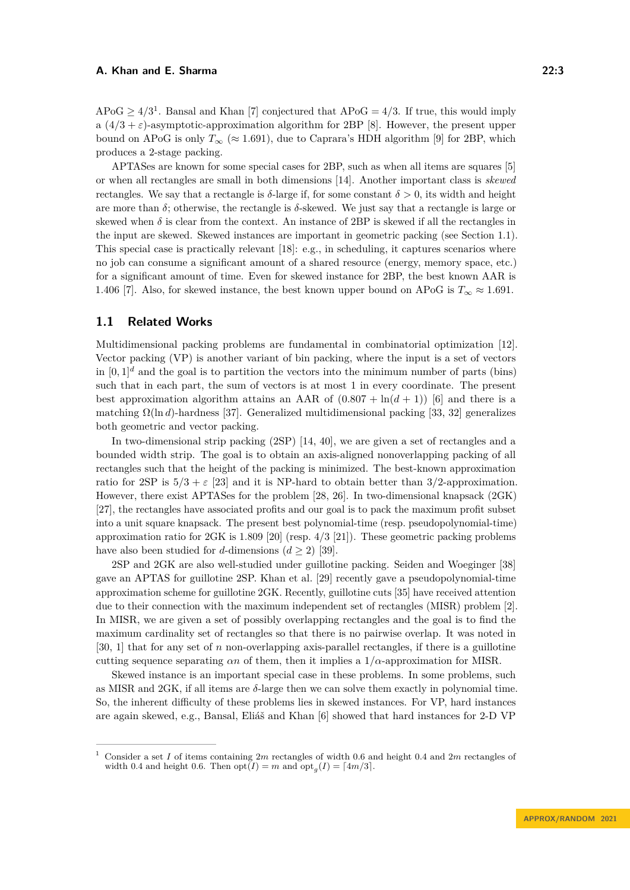$APoG \geq 4/3^1$  $APoG \geq 4/3^1$ . Bansal and Khan [\[7\]](#page-16-5) conjectured that  $APoG = 4/3$ . If true, this would imply a  $(4/3 + \varepsilon)$ -asymptotic-approximation algorithm for 2BP [\[8\]](#page-16-8). However, the present upper bound on APoG is only  $T_{\infty}$  ( $\approx$  1.691), due to Caprara's HDH algorithm [\[9\]](#page-16-3) for 2BP, which produces a 2-stage packing.

APTASes are known for some special cases for 2BP, such as when all items are squares [\[5\]](#page-16-1) or when all rectangles are small in both dimensions [\[14\]](#page-16-9). Another important class is *skewed* rectangles. We say that a rectangle is *δ*-large if, for some constant *δ >* 0, its width and height are more than  $\delta$ ; otherwise, the rectangle is  $\delta$ -skewed. We just say that a rectangle is large or skewed when  $\delta$  is clear from the context. An instance of 2BP is skewed if all the rectangles in the input are skewed. Skewed instances are important in geometric packing (see Section [1.1\)](#page-2-1). This special case is practically relevant [\[18\]](#page-16-10): e.g., in scheduling, it captures scenarios where no job can consume a significant amount of a shared resource (energy, memory space, etc.) for a significant amount of time. Even for skewed instance for 2BP, the best known AAR is 1.406 [\[7\]](#page-16-5). Also, for skewed instance, the best known upper bound on APoG is  $T_{\infty} \approx 1.691$ .

### <span id="page-2-1"></span>**1.1 Related Works**

Multidimensional packing problems are fundamental in combinatorial optimization [\[12\]](#page-16-11). Vector packing (VP) is another variant of bin packing, where the input is a set of vectors in  $[0,1]^d$  and the goal is to partition the vectors into the minimum number of parts (bins) such that in each part, the sum of vectors is at most 1 in every coordinate. The present best approximation algorithm attains an AAR of  $(0.807 + \ln(d + 1))$  [\[6\]](#page-16-12) and there is a matching  $\Omega(\ln d)$ -hardness [\[37\]](#page-17-3). Generalized multidimensional packing [\[33,](#page-17-4) [32\]](#page-17-5) generalizes both geometric and vector packing.

In two-dimensional strip packing (2SP) [\[14,](#page-16-9) [40\]](#page-18-1), we are given a set of rectangles and a bounded width strip. The goal is to obtain an axis-aligned nonoverlapping packing of all rectangles such that the height of the packing is minimized. The best-known approximation ratio for 2SP is  $5/3 + \varepsilon$  [\[23\]](#page-17-6) and it is NP-hard to obtain better than 3/2-approximation. However, there exist APTASes for the problem [\[28,](#page-17-7) [26\]](#page-17-8). In two-dimensional knapsack (2GK) [\[27\]](#page-17-9), the rectangles have associated profits and our goal is to pack the maximum profit subset into a unit square knapsack. The present best polynomial-time (resp. pseudopolynomial-time) approximation ratio for  $2GK$  is 1.809 [\[20\]](#page-17-10) (resp.  $4/3$  [\[21\]](#page-17-11)). These geometric packing problems have also been studied for *d*-dimensions  $(d \geq 2)$  [\[39\]](#page-18-2).

2SP and 2GK are also well-studied under guillotine packing. Seiden and Woeginger [\[38\]](#page-18-3) gave an APTAS for guillotine 2SP. Khan et al. [\[29\]](#page-17-12) recently gave a pseudopolynomial-time approximation scheme for guillotine 2GK. Recently, guillotine cuts [\[35\]](#page-17-13) have received attention due to their connection with the maximum independent set of rectangles (MISR) problem [\[2\]](#page-16-13). In MISR, we are given a set of possibly overlapping rectangles and the goal is to find the maximum cardinality set of rectangles so that there is no pairwise overlap. It was noted in [\[30,](#page-17-14) [1\]](#page-16-14) that for any set of *n* non-overlapping axis-parallel rectangles, if there is a guillotine cutting sequence separating  $\alpha n$  of them, then it implies a  $1/\alpha$ -approximation for MISR.

Skewed instance is an important special case in these problems. In some problems, such as MISR and 2GK, if all items are *δ*-large then we can solve them exactly in polynomial time. So, the inherent difficulty of these problems lies in skewed instances. For VP, hard instances are again skewed, e.g., Bansal, Eliáš and Khan [\[6\]](#page-16-12) showed that hard instances for 2-D VP

<span id="page-2-0"></span><sup>1</sup> Consider a set *I* of items containing 2*m* rectangles of width 0.6 and height 0.4 and 2*m* rectangles of width 0.4 and height 0.6. Then  $opt(I) = m$  and  $opt<sub>g</sub>(I) = \lceil 4m/3 \rceil$ .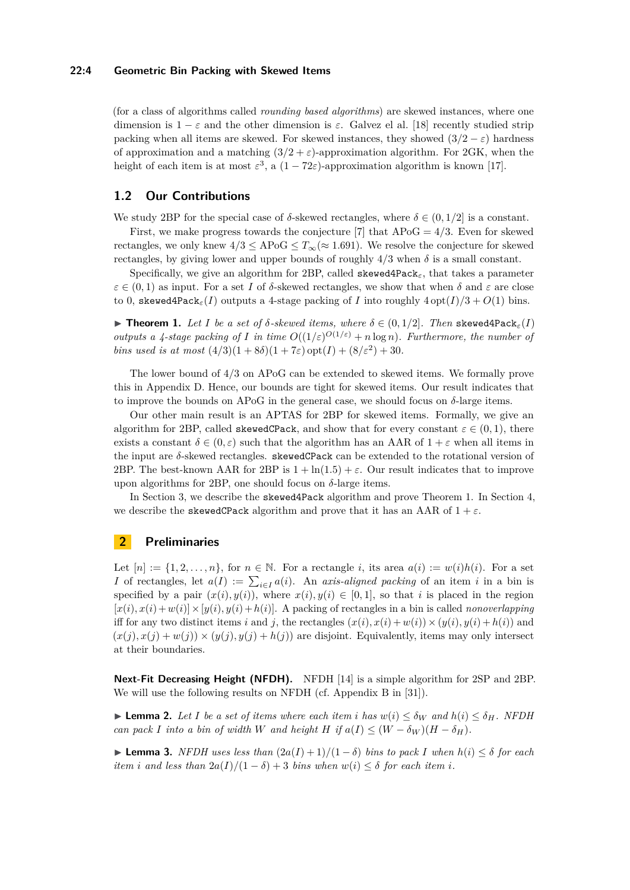### **22:4 Geometric Bin Packing with Skewed Items**

(for a class of algorithms called *rounding based algorithms*) are skewed instances, where one dimension is  $1 - \varepsilon$  and the other dimension is  $\varepsilon$ . Galvez el al. [\[18\]](#page-16-10) recently studied strip packing when all items are skewed. For skewed instances, they showed  $(3/2 - \varepsilon)$  hardness of approximation and a matching  $(3/2 + \varepsilon)$ -approximation algorithm. For 2GK, when the height of each item is at most  $\varepsilon^3$ , a  $(1 - 72\varepsilon)$ -approximation algorithm is known [\[17\]](#page-16-15).

# **1.2 Our Contributions**

We study 2BP for the special case of  $\delta$ -skewed rectangles, where  $\delta \in (0, 1/2]$  is a constant.

First, we make progress towards the conjecture [\[7\]](#page-16-5) that APoG = 4*/*3. Even for skewed rectangles, we only knew  $4/3 \leq APoG \leq T_{\infty} (\approx 1.691)$ . We resolve the conjecture for skewed rectangles, by giving lower and upper bounds of roughly  $4/3$  when  $\delta$  is a small constant.

Specifically, we give an algorithm for 2BP, called skewed4Pack*ε*, that takes a parameter  $\varepsilon \in (0,1)$  as input. For a set *I* of *δ*-skewed rectangles, we show that when *δ* and  $\varepsilon$  are close to 0, skewed4Pack<sub>ε</sub>(*I*) outputs a 4-stage packing of *I* into roughly  $4$  opt( $I$ )/ $3 + O(1)$  bins.

<span id="page-3-0"></span> $\blacktriangleright$  **Theorem 1.** Let I be a set of  $\delta$ -skewed items, where  $\delta \in (0, 1/2]$ . Then skewed4Pack<sub>ε</sub>(I) *outputs a 4-stage packing of I* in time  $O((1/\varepsilon)^{O(1/\varepsilon)} + n \log n)$ . Furthermore, the number of *bins used is at most*  $(4/3)(1+8\delta)(1+7\varepsilon)$  opt $(I) + (8/\varepsilon^2) + 30$ *.* 

The lower bound of 4*/*3 on APoG can be extended to skewed items. We formally prove this in Appendix [D.](#page-21-0) Hence, our bounds are tight for skewed items. Our result indicates that to improve the bounds on APoG in the general case, we should focus on  $\delta$ -large items.

Our other main result is an APTAS for 2BP for skewed items. Formally, we give an algorithm for 2BP, called skewedCPack, and show that for every constant  $\varepsilon \in (0,1)$ , there exists a constant  $\delta \in (0, \varepsilon)$  such that the algorithm has an AAR of  $1 + \varepsilon$  when all items in the input are *δ*-skewed rectangles. skewedCPack can be extended to the rotational version of 2BP. The best-known AAR for 2BP is  $1 + \ln(1.5) + \varepsilon$ . Our result indicates that to improve upon algorithms for 2BP, one should focus on  $\delta$ -large items.

In Section [3,](#page-4-0) we describe the skewed4Pack algorithm and prove Theorem [1.](#page-3-0) In Section [4,](#page-9-0) we describe the **skewedCPack** algorithm and prove that it has an AAR of  $1 + \varepsilon$ .

### **2 Preliminaries**

Let  $[n] := \{1, 2, \ldots, n\}$ , for  $n \in \mathbb{N}$ . For a rectangle *i*, its area  $a(i) := w(i)h(i)$ . For a set *I* of rectangles, let  $a(I) := \sum_{i \in I} a(i)$ . An *axis-aligned packing* of an item *i* in a bin is specified by a pair  $(x(i), y(i))$ , where  $x(i), y(i) \in [0, 1]$ , so that *i* is placed in the region  $[x(i), x(i) + w(i)] \times [y(i), y(i) + h(i)]$ . A packing of rectangles in a bin is called *nonoverlapping* iff for any two distinct items *i* and *j*, the rectangles  $(x(i), x(i) + w(i)) \times (y(i), y(i) + h(i))$  and  $(x(j), x(j) + w(j)) \times (y(j), y(j) + h(j))$  are disjoint. Equivalently, items may only intersect at their boundaries.

**Next-Fit Decreasing Height (NFDH).** NFDH [\[14\]](#page-16-9) is a simple algorithm for 2SP and 2BP. We will use the following results on NFDH (cf. Appendix B in [\[31\]](#page-17-15)).

<span id="page-3-2"></span>▶ **Lemma 2.** Let I be a set of items where each item *i* has  $w(i) ≤ δ_W$  and  $h(i) ≤ δ_H$ . NFDH *can pack I into a bin of width W and height H if*  $a(I) \leq (W - \delta_W)(H - \delta_H)$ .

<span id="page-3-1"></span> $▶$  **Lemma 3.** *NFDH uses less than*  $(2a(I) + 1)/(1 - δ)$  *bins to pack I when*  $h(i) ≤ δ$  *for each item i* and less than  $2a(I)/(1 - \delta) + 3$  *bins when*  $w(i) \leq \delta$  *for each item i.*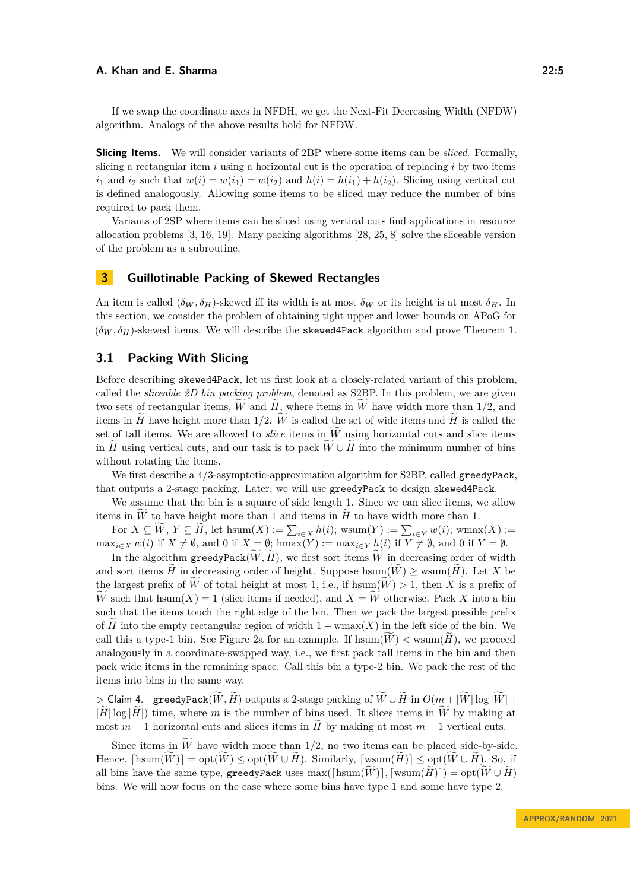If we swap the coordinate axes in NFDH, we get the Next-Fit Decreasing Width (NFDW) algorithm. Analogs of the above results hold for NFDW.

**Slicing Items.** We will consider variants of 2BP where some items can be *sliced*. Formally, slicing a rectangular item *i* using a horizontal cut is the operation of replacing *i* by two items  $i_1$  and  $i_2$  such that  $w(i) = w(i_1) = w(i_2)$  and  $h(i) = h(i_1) + h(i_2)$ . Slicing using vertical cut is defined analogously. Allowing some items to be sliced may reduce the number of bins required to pack them.

Variants of 2SP where items can be sliced using vertical cuts find applications in resource allocation problems [\[3,](#page-16-16) [16,](#page-16-17) [19\]](#page-17-16). Many packing algorithms [\[28,](#page-17-7) [25,](#page-17-1) [8\]](#page-16-8) solve the sliceable version of the problem as a subroutine.

### <span id="page-4-0"></span>**3 Guillotinable Packing of Skewed Rectangles**

An item is called  $(\delta_W, \delta_H)$ -skewed iff its width is at most  $\delta_W$  or its height is at most  $\delta_H$ . In this section, we consider the problem of obtaining tight upper and lower bounds on APoG for  $(\delta_W, \delta_H)$ -skewed items. We will describe the skewed4Pack algorithm and prove Theorem [1.](#page-3-0)

# **3.1 Packing With Slicing**

Before describing skewed4Pack, let us first look at a closely-related variant of this problem, called the *sliceable 2D bin packing problem*, denoted as S2BP. In this problem, we are given two sets of rectangular items,  $\overline{W}$  and  $\overline{H}$ , where items in  $\overline{W}$  have width more than 1/2, and items in  $\widetilde{H}$  have height more than 1/2.  $\widetilde{W}$  is called the set of wide items and  $\widetilde{H}$  is called the set of tall items. We are allowed to *slice* items in  $\widetilde{W}$  using horizontal cuts and slice items in  $\tilde{H}$  using vertical cuts, and our task is to pack  $\tilde{W} \cup \tilde{H}$  into the minimum number of bins without rotating the items.

We first describe a  $4/3$ -asymptotic-approximation algorithm for S2BP, called greedyPack, that outputs a 2-stage packing. Later, we will use greedyPack to design skewed4Pack.

We assume that the bin is a square of side length 1. Since we can slice items, we allow items in  $\tilde{W}$  to have height more than 1 and items in  $\tilde{H}$  to have width more than 1.

For  $X \subseteq W, Y \subseteq H$ , let  $\text{hsum}(X) := \sum_{i \in X} h(i)$ ; wsum $(Y) := \sum_{i \in Y} w(i)$ ; wmax $(X) :=$  $\max_{i \in X} w(i)$  if  $X \neq \emptyset$ , and 0 if  $X = \emptyset$ ; hmax $(Y) := \max_{i \in Y} h(i)$  if  $Y \neq \emptyset$ , and 0 if  $Y = \emptyset$ .

In the algorithm  $greedyPack(W, H)$ , we first sort items *W* in decreasing order of width and sort items  $H$  in decreasing order of height. Suppose hsum $(W) \geq$  wsum $(H)$ . Let X be the largest prefix of *W* of total height at most 1, i.e., if hsum $(W) > 1$ , then *X* is a prefix of *W* such that hsum $(X) = 1$  (slice items if needed), and  $X = \widetilde{W}$  otherwise. Pack X into a bin such that the items touch the right edge of the bin. Then we pack the largest possible prefix of *H* into the empty rectangular region of width  $1 - \text{wmax}(X)$  in the left side of the bin. We call this a type-1 bin. See Figure [2a](#page-5-0) for an example. If  $\text{hsum}(W) < \text{wsum}(H)$ , we proceed analogously in a coordinate-swapped way, i.e., we first pack tall items in the bin and then pack wide items in the remaining space. Call this bin a type-2 bin. We pack the rest of the items into bins in the same way.

<span id="page-4-1"></span> $\rhd$  Claim 4. greedyPack( $\widetilde{W}, \widetilde{H}$ ) outputs a 2-stage packing of  $\widetilde{W} \cup \widetilde{H}$  in  $O(m + |\widetilde{W}| \log |\widetilde{W}| +$  $|\tilde{H}| \log |\tilde{H}|$ ) time, where *m* is the number of bins used. It slices items in  $\tilde{W}$  by making at most  $m-1$  horizontal cuts and slices items in *H* by making at most  $m-1$  vertical cuts.

Since items in  $\widetilde{W}$  have width more than 1/2, no two items can be placed side-by-side. Hence,  $[\text{hsum}(\widetilde{W})] = \text{opt}(\widetilde{W}) \leq \text{opt}(\widetilde{W} \cup \widetilde{H})$ . Similarly,  $[\text{wsum}(\widetilde{H})] \leq \text{opt}(\widetilde{W} \cup \widetilde{H})$ . So, if all bins have the same type, greedyPack uses max( $\left[\text{hsum}(W)\right]$ ,  $\left[\text{wsum}(\tilde{H})\right]$ ) = opt $(\tilde{W} \cup \tilde{H})$ bins. We will now focus on the case where some bins have type 1 and some have type 2.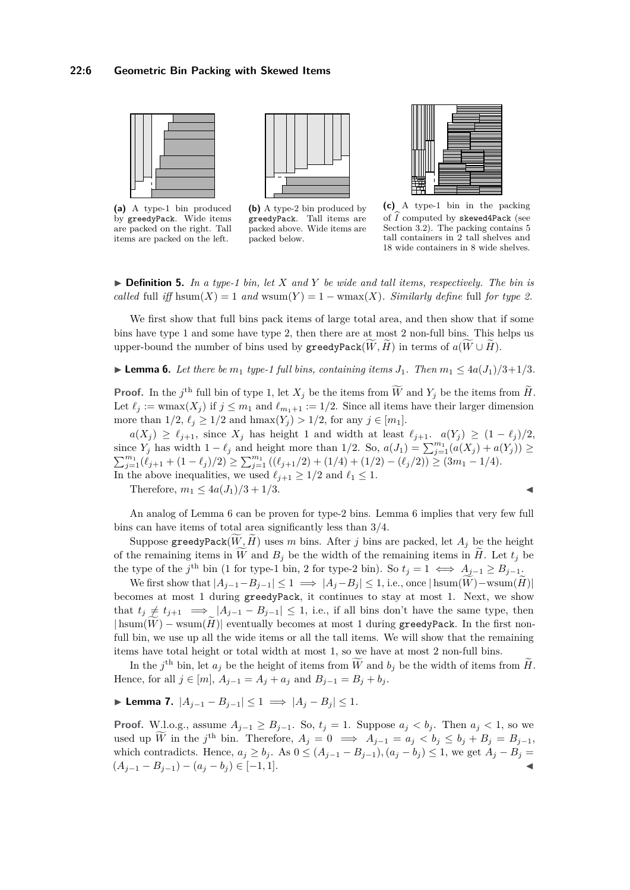<span id="page-5-0"></span>

**(a)** A type-1 bin produced by greedyPack. Wide items are packed on the right. Tall items are packed on the left.



**(b)** A type-2 bin produced by greedyPack. Tall items are packed above. Wide items are packed below.



**(c)** A type-1 bin in the packing of  $\widehat{I}$  computed by skewed4Pack (see Section [3.2\)](#page-6-0). The packing contains 5 tall containers in 2 tall shelves and 18 wide containers in 8 wide shelves.

▶ **Definition 5.** *In a type-1 bin, let X and Y be wide and tall items, respectively. The bin is called* full *iff* hsum(*X*) = 1 *and* wsum(*Y*) = 1 – wmax(*X*)*. Similarly define* full *for type 2.* 

We first show that full bins pack items of large total area, and then show that if some bins have type 1 and some have type 2, then there are at most 2 non-full bins. This helps us upper-bound the number of bins used by  $\mathbf{greedyPack}(W, H)$  in terms of  $a(W \cup H)$ .

<span id="page-5-1"></span>▶ **Lemma 6.** Let there be  $m_1$  type-1 full bins, containing items  $J_1$ . Then  $m_1 \leq 4a(J_1)/3+1/3$ .

**Proof.** In the *j*<sup>th</sup> full bin of type 1, let  $X_j$  be the items from  $\widetilde{W}$  and  $Y_j$  be the items from  $\widetilde{H}$ . Let  $\ell_j := \text{wmax}(X_j)$  if  $j \leq m_1$  and  $\ell_{m_1+1} := 1/2$ . Since all items have their larger dimension more than  $1/2$ ,  $\ell_j \geq 1/2$  and  $hmax(Y_j) > 1/2$ , for any  $j \in [m_1]$ .

 $a(X_j) \geq \ell_{j+1}$ , since  $X_j$  has height 1 and width at least  $\ell_{j+1}$ .  $a(Y_j) \geq (1 - \ell_j)/2$ , since  $Y_j$  has width  $1 - \ell_j$  and height more than  $1/2$ . So,  $a(J_1) = \sum_{j=1}^{m_1} (a(X_j) + a(Y_j)) \ge$  $\sum_{j=1}^{m_1} (\ell_{j+1} + (1 - \ell_j)/2) \ge \sum_{j=1}^{m_1} ((\ell_{j+1}/2) + (1/4) + (1/2) - (\ell_j/2)) \ge (3m_1 - 1/4).$ In the above inequalities, we used  $\ell_{j+1} \geq 1/2$  and  $\ell_1 \leq 1$ .

Therefore,  $m_1 \leq 4a(J_1)/3 + 1/3$ .

$$
\blacksquare
$$

An analog of Lemma [6](#page-5-1) can be proven for type-2 bins. Lemma [6](#page-5-1) implies that very few full bins can have items of total area significantly less than 3/4.

Suppose greedyPack $(W, H)$  uses *m* bins. After *j* bins are packed, let  $A_i$  be the height of the remaining items in  $\widetilde{W}$  and  $B_j$  be the width of the remaining items in  $\widetilde{H}$ . Let  $t_j$  be the type of the *j*<sup>th</sup> bin (1 for type-1 bin, 2 for type-2 bin). So  $t_j = 1 \iff A_{j-1} \geq B_{j-1}$ .

We first show that  $|A_{j-1}-B_{j-1}| \leq 1 \implies |A_j-B_j| \leq 1$ , i.e., once  $|\operatorname{hsum}(\tilde{W})-\operatorname{wsum}(\tilde{H})|$ becomes at most 1 during greedyPack, it continues to stay at most 1. Next, we show that  $t_j \neq t_{j+1} \implies |A_{j-1} - B_{j-1}| \leq 1$ , i.e., if all bins don't have the same type, then  $|\text{hsum}(W) - \text{wsum}(H)|$  eventually becomes at most 1 during greedyPack. In the first nonfull bin, we use up all the wide items or all the tall items. We will show that the remaining items have total height or total width at most 1, so we have at most 2 non-full bins.

In the *j*<sup>th</sup> bin, let  $a_j$  be the height of items from  $\tilde{W}$  and  $b_j$  be the width of items from  $\tilde{H}$ . Hence, for all *j* ∈ [*m*],  $A_{j-1} = A_j + a_j$  and  $B_{j-1} = B_j + b_j$ .

<span id="page-5-2"></span>
$$
\blacktriangleright \text{ Lemma 7. } |A_{j-1} - B_{j-1}| \le 1 \implies |A_j - B_j| \le 1.
$$

<span id="page-5-3"></span>**Proof.** W.l.o.g., assume  $A_{j-1} \geq B_{j-1}$ . So,  $t_j = 1$ . Suppose  $a_j < b_j$ . Then  $a_j < 1$ , so we used up  $\overline{W}$  in the *j*<sup>th</sup> bin. Therefore,  $A_j = 0 \implies A_{j-1} = a_j < b_j \le b_j + B_j = B_{j-1}$ , which contradicts. Hence,  $a_j \ge b_j$ . As  $0 \le (A_{j-1} - B_{j-1})$ ,  $(a_j - b_j) \le 1$ , we get  $A_j - B_j =$  $(A_{j-1} - B_{j-1}) - (a_j - b_j) \in [-1, 1].$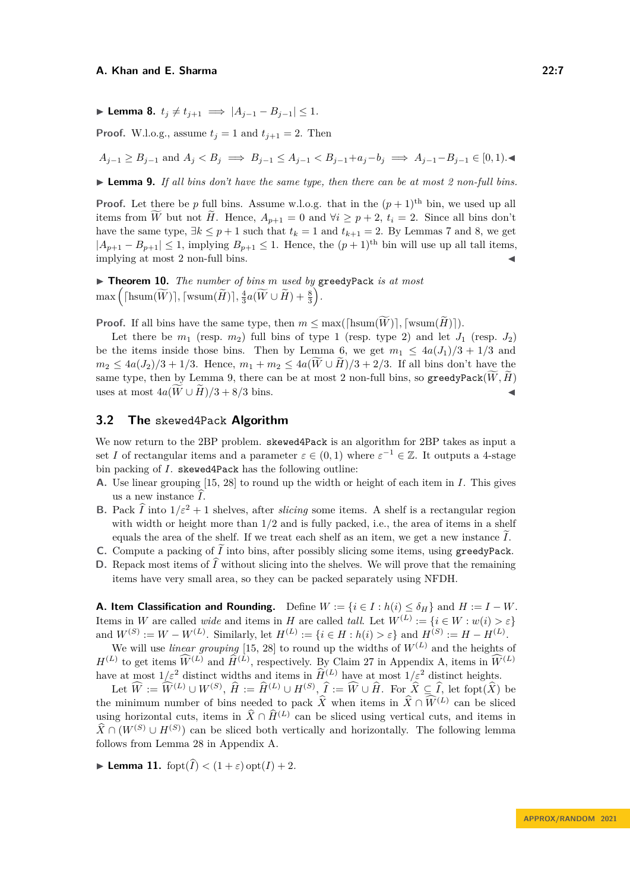▶ **Lemma 8.**  $t_i \neq t_{i+1} \implies |A_{i-1} - B_{i-1}| \leq 1$ .

**Proof.** W.l.o.g., assume  $t_i = 1$  and  $t_{i+1} = 2$ . Then

 $A_{i-1} > B_{i-1}$  and  $A_i < B_i \implies B_{i-1} < A_{i-1} < B_{i-1} + a_i - b_i \implies A_{i-1} - B_{i-1} \in [0,1)$ .

<span id="page-6-1"></span>▶ **Lemma 9.** *If all bins don't have the same type, then there can be at most 2 non-full bins.*

**Proof.** Let there be *p* full bins. Assume w.l.o.g. that in the  $(p+1)$ <sup>th</sup> bin, we used up all items from *W* but not *H*. Hence,  $A_{p+1} = 0$  and  $\forall i \geq p+2$ ,  $t_i = 2$ . Since all bins don't have the same type,  $\exists k \leq p+1$  such that  $t_k = 1$  and  $t_{k+1} = 2$ . By Lemmas [7](#page-5-2) and [8,](#page-5-3) we get  $|A_{p+1} - B_{p+1}| \le 1$ , implying  $B_{p+1} \le 1$ . Hence, the  $(p+1)$ <sup>th</sup> bin will use up all tall items, implying at most 2 non-full bins.

<span id="page-6-2"></span>▶ **Theorem 10.** *The number of bins m used by* greedyPack *is at most*  $\max\left(\lceil \text{hsum}(\widetilde{W}) \rceil, \lceil \text{wsum}(\widetilde{H}) \rceil, \frac{4}{3}a(\widetilde{W} \cup \widetilde{H}) + \frac{8}{3}\right).$ 

**Proof.** If all bins have the same type, then  $m \le \max(\lceil \text{hsum}(\widetilde{W}) \rceil, \lceil \text{wsum}(\widetilde{H}) \rceil)$ .

Let there be  $m_1$  (resp.  $m_2$ ) full bins of type 1 (resp. type 2) and let  $J_1$  (resp.  $J_2$ ) be the items inside those bins. Then by Lemma [6,](#page-5-1) we get  $m_1 \leq 4a(J_1)/3 + 1/3$  and *m*<sub>2</sub> ≤ 4*a*(*J*<sub>2</sub>)/3 + 1/3. Hence,  $m_1 + m_2 \le 4a(\overline{W} \cup \overline{H})/3 + 2/3$ . If all bins don't have the same type, then by Lemma [9,](#page-6-1) there can be at most 2 non-full bins, so greedyPack $(\widetilde{W}, \widetilde{H})$ uses at most  $4a(W \cup \tilde{H})/3 + 8/3$  bins.

### <span id="page-6-0"></span>**3.2 The** skewed4Pack **Algorithm**

We now return to the 2BP problem. skewed4Pack is an algorithm for 2BP takes as input a set *I* of rectangular items and a parameter  $\varepsilon \in (0,1)$  where  $\varepsilon^{-1} \in \mathbb{Z}$ . It outputs a 4-stage bin packing of *I*. skewed4Pack has the following outline:

- **A.** Use linear grouping [\[15,](#page-16-0) [28\]](#page-17-7) to round up the width or height of each item in *I*. This gives us a new instance  $\widehat{I}$ .
- **B.** Pack  $\hat{I}$  into  $1/\varepsilon^2 + 1$  shelves, after *slicing* some items. A shelf is a rectangular region with width or height more than  $1/2$  and is fully packed, i.e., the area of items in a shelf equals the area of the shelf. If we treat each shelf as an item, we get a new instance  $\tilde{I}$ .
- **C.** Compute a packing of  $\widetilde{I}$  into bins, after possibly slicing some items, using greedyPack.
- **D.** Repack most items of  $\widehat{I}$  without slicing into the shelves. We will prove that the remaining items have very small area, so they can be packed separately using NFDH.

**A. Item Classification and Rounding.** Define  $W := \{i \in I : h(i) \leq \delta_H\}$  and  $H := I - W$ . Items in *W* are called *wide* and items in *H* are called *tall*. Let  $W^{(L)} := \{i \in W : w(i) > \varepsilon\}$ and  $W^{(S)} := W - W^{(L)}$ . Similarly, let  $H^{(L)} := \{i \in H : h(i) > \varepsilon\}$  and  $H^{(S)} := H - H^{(L)}$ .

We will use *linear grouping* [\[15,](#page-16-0) [28\]](#page-17-7) to round up the widths of  $W^{(L)}$  and the heights of  $H^{(L)}$  to get items  $\widehat{W}^{(L)}$  and  $\widehat{H}^{(L)}$ , respectively. By Claim [27](#page-18-4) in Appendix [A,](#page-18-5) items in  $\widehat{W}^{(L)}$ have at most  $1/\varepsilon^2$  distinct widths and items in  $\widehat{H}^{(L)}$  have at most  $1/\varepsilon^2$  distinct heights.

Let  $\widehat{W} := \widehat{W}^{(L)} \cup W^{(S)}, \widehat{H} := \widehat{H}^{(L)} \cup H^{(S)}, \widehat{I} := \widehat{W} \cup \widehat{H}$ . For  $\widehat{X} \subseteq \widehat{I}$ , let fopt $(\widehat{X})$  be the minimum number of bins needed to pack  $\hat{X}$  when items in  $\hat{X} \cap \hat{W}^{(L)}$  can be sliced using horizontal cuts, items in  $\hat{X} \cap \hat{H}^{(L)}$  can be sliced using vertical cuts, and items in  $\widehat{X} \cap (W^{(S)} \cup H^{(S)})$  can be sliced both vertically and horizontally. The following lemma follows from Lemma [28](#page-18-6) in Appendix [A.](#page-18-5)

<span id="page-6-3"></span>**Example 11.** for  $(\widehat{I}) < (1+\varepsilon)$  opt $(I) + 2$ .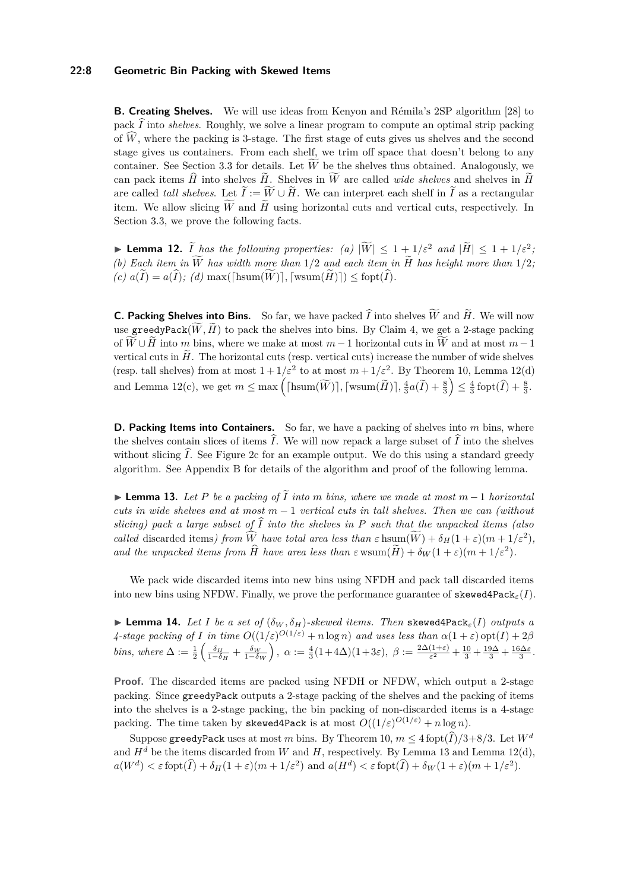### **22:8 Geometric Bin Packing with Skewed Items**

**B. Creating Shelves.** We will use ideas from Kenyon and Rémila's 2SP algorithm [\[28\]](#page-17-7) to pack  $\widehat{I}$  into *shelves*. Roughly, we solve a linear program to compute an optimal strip packing of  $\hat{W}$ , where the packing is 3-stage. The first stage of cuts gives us shelves and the second stage gives us containers. From each shelf, we trim off space that doesn't belong to any container. See Section [3.3](#page-8-0) for details. Let  $\overline{W}$  be the shelves thus obtained. Analogously, we can pack items  $\hat{H}$  into shelves  $\tilde{H}$ . Shelves in  $\widetilde{W}$  are called *wide shelves* and shelves in  $\tilde{H}$ are called *tall shelves*. Let  $\tilde{I} := \tilde{W} \cup \tilde{H}$ . We can interpret each shelf in  $\tilde{I}$  as a rectangular item. We allow slicing  $\tilde{W}$  and  $\tilde{H}$  using horizontal cuts and vertical cuts, respectively. In Section [3.3,](#page-8-0) we prove the following facts.

<span id="page-7-0"></span>▶ **Lemma 12.**  $\widetilde{I}$  has the following properties: (a)  $|\widetilde{W}| \leq 1 + 1/\varepsilon^2$  and  $|\widetilde{H}| \leq 1 + 1/\varepsilon^2$ *(b)* Each item in  $\widetilde{W}$  has width more than 1/2 and each item in  $\widetilde{H}$  has height more than 1/2;  $(c)$   $\tilde{a}(I) = a(I);$   $(d)$  max( $[\text{hsum}(\widetilde{W})], [\text{wsum}(\widetilde{H})]$ ) < fopt $(\widehat{I}).$ 

**C. Packing Shelves into Bins.** So far, we have packed  $\widehat{I}$  into shelves  $\widetilde{W}$  and  $\widetilde{H}$ . We will now use greedyPack $(\widetilde{W}, \widetilde{H})$  to pack the shelves into bins. By Claim [4,](#page-4-1) we get a 2-stage packing of  $\widetilde{W} \cup \widetilde{H}$  into *m* bins, where we make at most  $m-1$  horizontal cuts in  $\widetilde{W}$  and at most  $m-1$ vertical cuts in  $\widetilde{H}$ . The horizontal cuts (resp. vertical cuts) increase the number of wide shelves (resp. tall shelves) from at most  $1 + 1/\varepsilon^2$  to at most  $m + 1/\varepsilon^2$ . By Theorem [10,](#page-6-2) Lemma [12\(](#page-7-0)d) and Lemma [12\(](#page-7-0)c), we get  $m \le \max\left( \lceil \text{hsum}(\widetilde{W}) \rceil, \lceil \text{wsum}(\widetilde{H}) \rceil, \frac{4}{3}a(\widetilde{I}) + \frac{8}{3} \right) \le \frac{4}{3}$  fopt $(\widehat{I}) + \frac{8}{3}$ .

**D. Packing Items into Containers.** So far, we have a packing of shelves into *m* bins, where the shelves contain slices of items  $\tilde{I}$ . We will now repack a large subset of  $\tilde{I}$  into the shelves without slicing  $\hat{I}$ . See Figure [2c](#page-5-0) for an example output. We do this using a standard greedy algorithm. See Appendix [B](#page-19-0) for details of the algorithm and proof of the following lemma.

<span id="page-7-1"></span>▶ **Lemma 13.** *Let <sup>P</sup> be a packing of <sup>I</sup>*<sup>e</sup> *into <sup>m</sup> bins, where we made at most <sup>m</sup>* <sup>−</sup> <sup>1</sup> *horizontal cuts in wide shelves and at most m* − 1 *vertical cuts in tall shelves. Then we can (without slicing)* pack a large subset of  $\hat{I}$  into the shelves in P such that the unpacked items (also *called* discarded items) from W have total area less than  $\varepsilon$  hsum $(W) + \delta_H(1+\varepsilon)(m+1/\varepsilon^2)$ , *and the unpacked items from*  $\widehat{H}$  *have area less than*  $\varepsilon$  wsum $(\widetilde{H}) + \delta_W(1+\varepsilon)(m+1/\varepsilon^2)$ .

We pack wide discarded items into new bins using NFDH and pack tall discarded items into new bins using NFDW. Finally, we prove the performance guarantee of skewed4Pack<sub> $\varepsilon$ </sub>(*I*).

<span id="page-7-2"></span> $\blacktriangleright$  **Lemma 14.** *Let I be a set of*  $(\delta_W, \delta_H)$ *-skewed items. Then* skewed4Pack<sub> $\epsilon$ </sub>(*I*) *outputs a 4*-stage packing of *I* in time  $O((1/\varepsilon)^{O(1/\varepsilon)} + n \log n)$  and uses less than  $\alpha(1+\varepsilon)$  opt $(I) + 2\beta$ *bins, where*  $\Delta := \frac{1}{2} \left( \frac{\delta_H}{1-\delta_H} + \frac{\delta_W}{1-\delta_W} \right)$ ,  $\alpha := \frac{4}{3} (1+4\Delta)(1+3\varepsilon)$ ,  $\beta := \frac{2\Delta(1+\varepsilon)}{\varepsilon^2}$  $\frac{(1+\varepsilon)}{\varepsilon^2} + \frac{10}{3} + \frac{19\Delta}{3} + \frac{16\Delta\varepsilon}{3}$ .

**Proof.** The discarded items are packed using NFDH or NFDW, which output a 2-stage packing. Since greedyPack outputs a 2-stage packing of the shelves and the packing of items into the shelves is a 2-stage packing, the bin packing of non-discarded items is a 4-stage packing. The time taken by skewed4Pack is at most  $O((1/\varepsilon)^{O(1/\varepsilon)} + n \log n)$ .

Suppose greedyPack uses at most *m* bins. By Theorem [10,](#page-6-2)  $m \leq 4$  fopt $(\widehat{I})/3+8/3$ . Let  $W^d$ and  $H^d$  be the items discarded from W and H, respectively. By Lemma [13](#page-7-1) and Lemma [12\(](#page-7-0)d),  $a(W^d) < \varepsilon$  fopt $(\widehat{I}) + \delta_H(1+\varepsilon)(m+1/\varepsilon^2)$  and  $a(H^d) < \varepsilon$  fopt $(\widehat{I}) + \delta_W(1+\varepsilon)(m+1/\varepsilon^2)$ .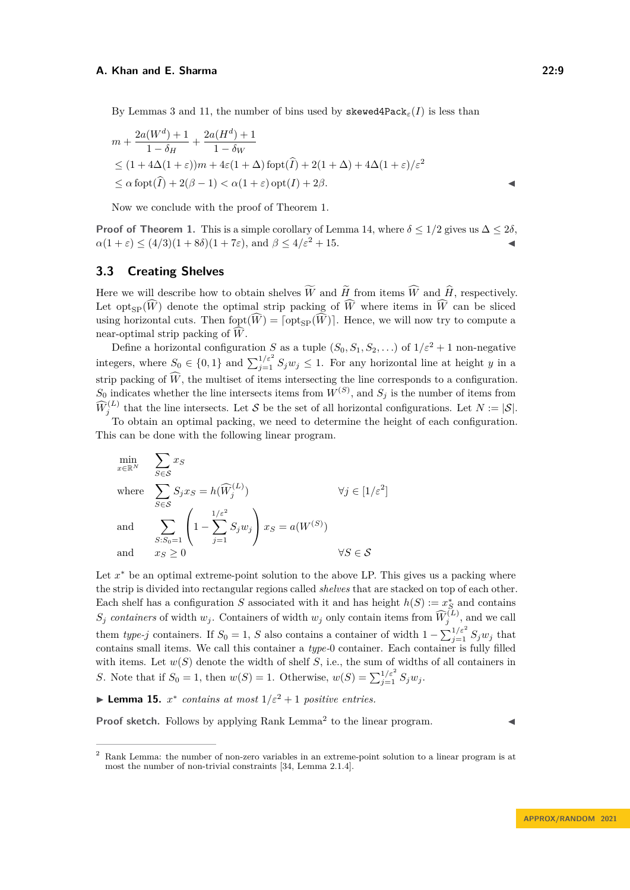$$
m + \frac{2a(W^d) + 1}{1 - \delta_H} + \frac{2a(H^d) + 1}{1 - \delta_W}
$$
  
\n
$$
\leq (1 + 4\Delta(1 + \varepsilon))m + 4\varepsilon(1 + \Delta)\operatorname{fopt}(\widehat{I}) + 2(1 + \Delta) + 4\Delta(1 + \varepsilon)/\varepsilon^2
$$
  
\n
$$
\leq \alpha \operatorname{fopt}(\widehat{I}) + 2(\beta - 1) < \alpha(1 + \varepsilon) \operatorname{opt}(I) + 2\beta.
$$

Now we conclude with the proof of Theorem [1.](#page-3-0)

**Proof of Theorem [1.](#page-3-0)** This is a simple corollary of Lemma [14,](#page-7-2) where  $\delta \leq 1/2$  gives us  $\Delta \leq 2\delta$ ,  $\alpha(1+\varepsilon) \leq (4/3)(1+8\delta)(1+7\varepsilon)$ , and  $\beta \leq 4/\varepsilon^2 + 15$ .

# <span id="page-8-0"></span>**3.3 Creating Shelves**

Here we will describe how to obtain shelves  $\widetilde{W}$  and  $\widetilde{H}$  from items  $\widehat{W}$  and  $\widehat{H}$ , respectively. Let opt<sub>sp</sub> $(\widehat{W})$  denote the optimal strip packing of  $\widehat{W}$  where items in  $\widehat{W}$  can be sliced using horizontal cuts. Then  $f(\widehat{W}) = [\text{opt}_{SP}(\widehat{W})]$ . Hence, we will now try to compute a near-optimal strip packing of  $W$ .

Define a horizontal configuration *S* as a tuple  $(S_0, S_1, S_2, \ldots)$  of  $1/\varepsilon^2 + 1$  non-negative integers, where  $S_0 \in \{0,1\}$  and  $\sum_{j=1}^{1/\varepsilon^2} S_j w_j \leq 1$ . For any horizontal line at height *y* in a strip packing of  $\widehat{W}$ , the multiset of items intersecting the line corresponds to a configuration.  $S_0$  indicates whether the line intersects items from  $W^{(S)}$ , and  $S_j$  is the number of items from  $\widehat{W}_j^{(L)}$  that the line intersects. Let S be the set of all horizontal configurations. Let  $N := |\mathcal{S}|$ .

To obtain an optimal packing, we need to determine the height of each configuration. This can be done with the following linear program.

$$
\min_{x \in \mathbb{R}^N} \sum_{S \in \mathcal{S}} x_S
$$
\n
$$
\text{where } \sum_{S \in \mathcal{S}} S_j x_S = h(\widehat{W}_j^{(L)}) \qquad \forall j \in [1/\varepsilon^2]
$$
\n
$$
\text{and } \sum_{S: S_0 = 1} \left( 1 - \sum_{j=1}^{1/\varepsilon^2} S_j w_j \right) x_S = a(W^{(S)})
$$
\n
$$
\text{and } x_S \ge 0 \qquad \forall S \in \mathcal{S}
$$

Let  $x^*$  be an optimal extreme-point solution to the above LP. This gives us a packing where the strip is divided into rectangular regions called *shelves* that are stacked on top of each other. Each shelf has a configuration *S* associated with it and has height  $h(S) := x_S^*$  and contains *S<sub>j</sub> containers* of width  $w_j$ . Containers of width  $w_j$  only contain items from  $\widehat{W}_j^{(L)}$ , and we call them *type-j* containers. If  $S_0 = 1$ , *S* also contains a container of width  $1 - \sum_{j=1}^{1/\varepsilon^2} S_j w_j$  that contains small items. We call this container a *type-*0 container. Each container is fully filled with items. Let  $w(S)$  denote the width of shelf  $S$ , i.e., the sum of widths of all containers in *S*. Note that if  $S_0 = 1$ , then  $w(S) = 1$ . Otherwise,  $w(S) = \sum_{j=1}^{1/\varepsilon^2} S_j w_j$ .

<span id="page-8-2"></span>▶ **Lemma 15.**  $x^*$  contains at most  $1/\varepsilon^2 + 1$  positive entries.

**Proof sketch.** Follows by applying Rank Lemma<sup>[2](#page-8-1)</sup> to the linear program. ◀

<span id="page-8-3"></span><span id="page-8-1"></span><sup>2</sup> Rank Lemma: the number of non-zero variables in an extreme-point solution to a linear program is at most the number of non-trivial constraints [\[34,](#page-17-17) Lemma 2.1.4].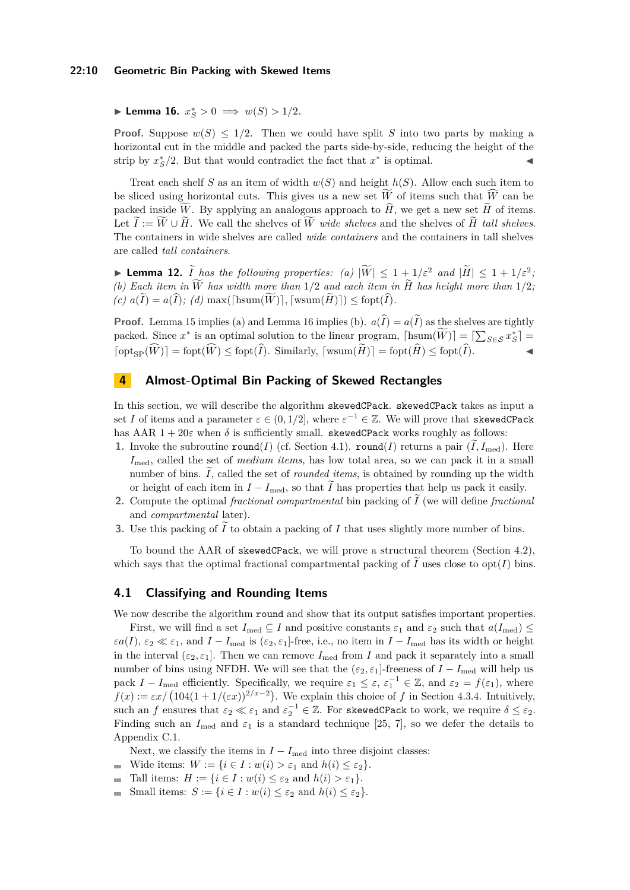#### **22:10 Geometric Bin Packing with Skewed Items**

▶ **Lemma 16.**  $x_S^* > 0 \implies w(S) > 1/2$ .

**Proof.** Suppose  $w(S) \leq 1/2$ . Then we could have split *S* into two parts by making a horizontal cut in the middle and packed the parts side-by-side, reducing the height of the strip by  $x^*_{S}/2$ . But that would contradict the fact that  $x^*$  is optimal.

Treat each shelf *S* as an item of width  $w(S)$  and height  $h(S)$ . Allow each such item to be sliced using horizontal cuts. This gives us a new set  $\tilde{W}$  of items such that  $\tilde{W}$  can be packed inside  $\widetilde{W}$ . By applying an analogous approach to  $\widehat{H}$ , we get a new set  $\widetilde{H}$  of items. Let  $\hat{I} := W \cup H$ . We call the shelves of *W wide shelves* and the shelves of *H tall shelves*. The containers in wide shelves are called *wide containers* and the containers in tall shelves are called *tall containers*.

▶ **Lemma 12.**  $\widetilde{I}$  has the following properties: (a)  $|\widetilde{W}| \leq 1 + 1/\varepsilon^2$  and  $|\widetilde{H}| \leq 1 + 1/\varepsilon^2$ ; *(b)* Each item in  $\widetilde{W}$  has width more than 1/2 and each item in  $\widetilde{H}$  has height more than 1/2;  $(c)$   $a(\overline{I}) = a(\widehat{I});$   $(d)$  max( $[\text{hsum}(\widetilde{W})]$ ,  $[\text{wsum}(\widetilde{H})] \leq \text{fopt}(\widehat{I})$ *.* 

**Proof.** Lemma [15](#page-8-2) implies (a) and Lemma [16](#page-8-3) implies (b).  $a(\hat{I}) = a(\tilde{I})$  as the shelves are tightly packed. Since  $x^*$  is an optimal solution to the linear program,  $\lceil \text{hsum}(\hat{W}) \rceil = \lceil \sum_{S \in \mathcal{S}} x^*_S \rceil$  $\lceil \mathrm{opt_{SP}}(\widehat{W}) \rceil = \mathrm{fopt}(\widehat{W}) \leq \mathrm{fopt}(\widehat{I}).$  Similarly,  $\lceil \mathrm{wsum}(\widetilde{H}) \rceil = \mathrm{fopt}(\widehat{H}) \leq \mathrm{fopt}(\widehat{I}).$ 

# <span id="page-9-0"></span>**4 Almost-Optimal Bin Packing of Skewed Rectangles**

In this section, we will describe the algorithm skewedCPack. skewedCPack takes as input a set *I* of items and a parameter  $\varepsilon \in (0, 1/2]$ , where  $\varepsilon^{-1} \in \mathbb{Z}$ . We will prove that skewedCPack has AAR  $1 + 20\varepsilon$  when  $\delta$  is sufficiently small. skewedCPack works roughly as follows:

- **1.** Invoke the subroutine  $\text{round}(I)$  (cf. Section [4.1\)](#page-9-1).  $\text{round}(I)$  returns a pair  $(\tilde{I}, I_{\text{med}})$ . Here *I*med, called the set of *medium items*, has low total area, so we can pack it in a small number of bins.  $\tilde{I}$ , called the set of *rounded items*, is obtained by rounding up the width or height of each item in  $I - I_{\text{med}}$ , so that  $\tilde{I}$  has properties that help us pack it easily.
- **2.** Compute the optimal *fractional compartmental* bin packing of *I* (we will define *fractional* and *compartmental* later).
- **3.** Use this packing of  $\tilde{I}$  to obtain a packing of  $I$  that uses slightly more number of bins.

To bound the AAR of skewedCPack, we will prove a structural theorem (Section [4.2\)](#page-10-0), which says that the optimal fractional compartmental packing of  $\tilde{I}$  uses close to opt(*I*) bins.

### <span id="page-9-1"></span>**4.1 Classifying and Rounding Items**

We now describe the algorithm round and show that its output satisfies important properties.

First, we will find a set  $I_{\text{med}} \subseteq I$  and positive constants  $\varepsilon_1$  and  $\varepsilon_2$  such that  $a(I_{\text{med}}) \leq$  $\varepsilon a(I)$ ,  $\varepsilon_2 \ll \varepsilon_1$ , and  $I - I_{\text{med}}$  is ( $\varepsilon_2$ ,  $\varepsilon_1$ ]-free, i.e., no item in  $I - I_{\text{med}}$  has its width or height in the interval  $(\varepsilon_2, \varepsilon_1]$ . Then we can remove  $I_{\text{med}}$  from *I* and pack it separately into a small number of bins using NFDH. We will see that the  $(\varepsilon_2, \varepsilon_1]$ -freeness of *I* − *I*<sub>med</sub> will help us pack  $I - I_{\text{med}}$  efficiently. Specifically, we require  $\varepsilon_1 \leq \varepsilon$ ,  $\varepsilon_1^{-1} \in \mathbb{Z}$ , and  $\varepsilon_2 = f(\varepsilon_1)$ , where  $f(x) := \varepsilon x / (104(1+1/(\varepsilon x))^{2/x-2})$ . We explain this choice of *f* in Section [4.3.4.](#page-15-0) Intuitively, such an *f* ensures that  $\varepsilon_2 \ll \varepsilon_1$  and  $\varepsilon_2^{-1} \in \mathbb{Z}$ . For skewedCPack to work, we require  $\delta \leq \varepsilon_2$ . Finding such an  $I_{\text{med}}$  and  $\varepsilon_1$  is a standard technique [\[25,](#page-17-1) [7\]](#page-16-5), so we defer the details to Appendix [C.1.](#page-19-1)

Next, we classify the items in  $I - I_{\text{med}}$  into three disjoint classes:

- Wide items:  $W := \{i \in I : w(i) > \varepsilon_1 \text{ and } h(i) \leq \varepsilon_2\}.$  $\sim$
- Tall items:  $H := \{i \in I : w(i) \leq \varepsilon_2 \text{ and } h(i) > \varepsilon_1\}.$
- Small items:  $S := \{i \in I : w(i) \leq \varepsilon_2 \text{ and } h(i) \leq \varepsilon_2\}.$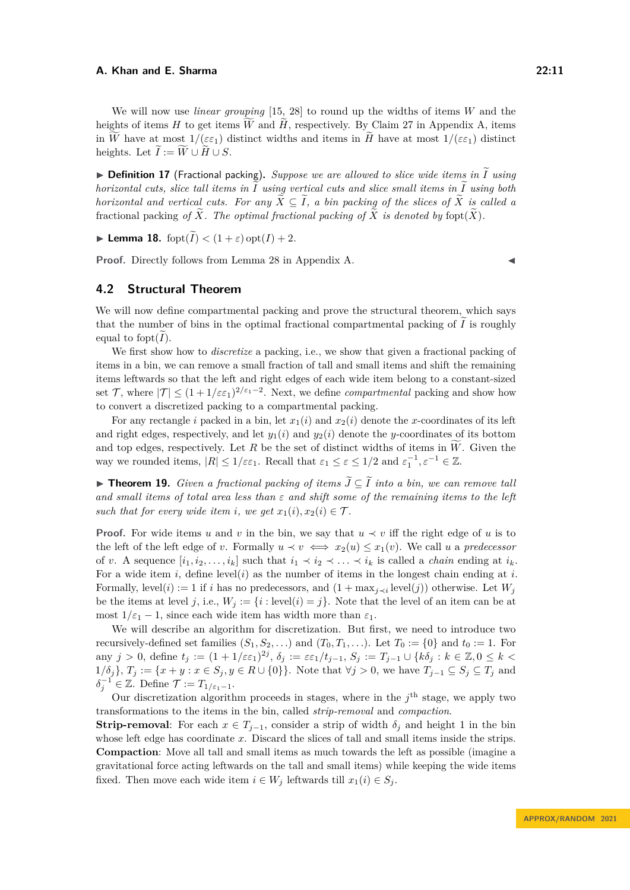We will now use *linear grouping* [\[15,](#page-16-0) [28\]](#page-17-7) to round up the widths of items *W* and the heights of items *H* to get items  $\widetilde{W}$  and  $\widetilde{H}$ , respectively. By Claim [27](#page-18-4) in Appendix [A,](#page-18-5) items in W have at most  $1/(\varepsilon \varepsilon_1)$  distinct widths and items in  $\tilde{H}$  have at most  $1/(\varepsilon \varepsilon_1)$  distinct heights. Let  $\widetilde{I} := \widetilde{W} \cup \widetilde{H} \cup S$ .

 $\triangleright$  **Definition 17** (Fractional packing). *Suppose we are allowed to slice wide items in*  $\widetilde{I}$  *using horizontal cuts, slice tall items in*  $\widetilde{I}$  *using vertical cuts and slice small items in*  $\widetilde{I}$  *using both horizontal and vertical cuts. For any*  $\widetilde{X} \subseteq \widetilde{I}$ , a bin packing of the slices of  $\widetilde{X}$  is called a fractional packing of  $\widetilde{X}$ . The optimal fractional packing of  $\widetilde{X}$  is denoted by fopt $(\widetilde{X})$ .

<span id="page-10-2"></span>**Example 18.** for  $(\widetilde{I}) < (1+\varepsilon)$  opt $(I) + 2$ .

**Proof.** Directly follows from Lemma [28](#page-18-6) in Appendix [A.](#page-18-5)

# <span id="page-10-0"></span>**4.2 Structural Theorem**

We will now define compartmental packing and prove the structural theorem, which says that the number of bins in the optimal fractional compartmental packing of  $\tilde{I}$  is roughly equal to fopt $(I)$ .

We first show how to *discretize* a packing, i.e., we show that given a fractional packing of items in a bin, we can remove a small fraction of tall and small items and shift the remaining items leftwards so that the left and right edges of each wide item belong to a constant-sized set T, where  $|\mathcal{T}| \leq (1 + 1/\varepsilon \varepsilon_1)^{2/\varepsilon_1 - 2}$ . Next, we define *compartmental* packing and show how to convert a discretized packing to a compartmental packing.

For any rectangle *i* packed in a bin, let  $x_1(i)$  and  $x_2(i)$  denote the *x*-coordinates of its left and right edges, respectively, and let  $y_1(i)$  and  $y_2(i)$  denote the *y*-coordinates of its bottom and top edges, respectively. Let R be the set of distinct widths of items in  $\tilde{W}$ . Given the way we rounded items,  $|R| \leq 1/\varepsilon \varepsilon_1$ . Recall that  $\varepsilon_1 \leq \varepsilon \leq 1/2$  and  $\varepsilon_1^{-1}, \varepsilon^{-1} \in \mathbb{Z}$ .

<span id="page-10-1"></span>▶ **Theorem 19.** *Given a fractional packing of items*  $\widetilde{J} \subseteq \widetilde{I}$  *into a bin, we can remove tall and small items of total area less than ε and shift some of the remaining items to the left such that for every wide item <i>i*, we get  $x_1(i), x_2(i) \in \mathcal{T}$ .

**Proof.** For wide items *u* and *v* in the bin, we say that  $u \prec v$  iff the right edge of *u* is to the left of the left edge of *v*. Formally  $u \prec v \iff x_2(u) \leq x_1(v)$ . We call *u* a *predecessor* of *v*. A sequence  $[i_1, i_2, \ldots, i_k]$  such that  $i_1 \prec i_2 \prec \ldots \prec i_k$  is called a *chain* ending at  $i_k$ . For a wide item *i*, define level(*i*) as the number of items in the longest chain ending at *i*. Formally, level(*i*) := 1 if *i* has no predecessors, and  $(1 + \max_{j \prec i} level(j))$  otherwise. Let  $W_j$ be the items at level *j*, i.e.,  $W_j := \{i : \text{level}(i) = j\}$ . Note that the level of an item can be at most  $1/\varepsilon_1 - 1$ , since each wide item has width more than  $\varepsilon_1$ .

We will describe an algorithm for discretization. But first, we need to introduce two recursively-defined set families  $(S_1, S_2, \ldots)$  and  $(T_0, T_1, \ldots)$ . Let  $T_0 := \{0\}$  and  $t_0 := 1$ . For  $\alpha$  any  $j > 0$ , define  $t_j := (1 + 1/\varepsilon \varepsilon_1)^{2j}$ ,  $\delta_j := \varepsilon \varepsilon_1 / t_{j-1}$ ,  $S_j := T_{j-1} \cup \{k \delta_j : k \in \mathbb{Z}, 0 \leq k < j \}$ 1/δ<sup>*j*</sup>},  $T_j := \{x + y : x \in S_j, y \in R \cup \{0\}\}\$ . Note that  $\forall j > 0$ , we have  $T_{j-1} \subseteq S_j \subseteq T_j$  and  $\delta_j^{-1} \in \mathbb{Z}$ . Define  $\mathcal{T} := T_{1/\varepsilon_1 - 1}$ .

Our discretization algorithm proceeds in stages, where in the  $j<sup>th</sup>$  stage, we apply two transformations to the items in the bin, called *strip-removal* and *compaction*.

**Strip-removal**: For each  $x \in T_{j-1}$ , consider a strip of width  $\delta_j$  and height 1 in the bin whose left edge has coordinate *x*. Discard the slices of tall and small items inside the strips. **Compaction**: Move all tall and small items as much towards the left as possible (imagine a gravitational force acting leftwards on the tall and small items) while keeping the wide items fixed. Then move each wide item  $i \in W_j$  leftwards till  $x_1(i) \in S_j$ .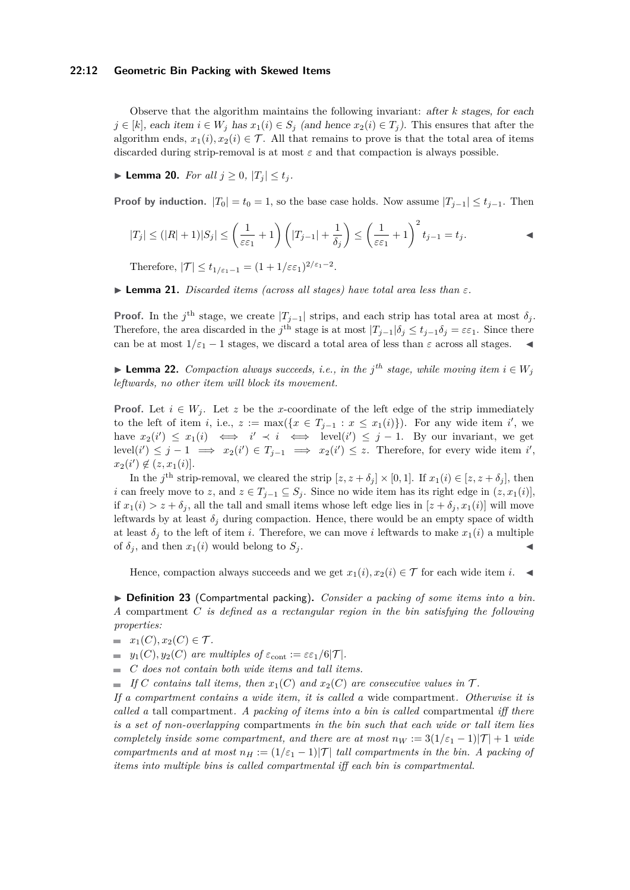#### **22:12 Geometric Bin Packing with Skewed Items**

Observe that the algorithm maintains the following invariant: after *k* stages, for each *j* ∈ [*k*], each item *i* ∈ *W<sub>j</sub>* has  $x_1(i)$  ∈  $S_j$  (and hence  $x_2(i)$  ∈  $T_j$ ). This ensures that after the algorithm ends,  $x_1(i), x_2(i) \in \mathcal{T}$ . All that remains to prove is that the total area of items discarded during strip-removal is at most *ε* and that compaction is always possible.

▶ **Lemma 20.** *For all*  $j \geq 0$ ,  $|T_j| \leq t_j$ .

**Proof by induction.**  $|T_0| = t_0 = 1$ , so the base case holds. Now assume  $|T_{j-1}| \le t_{j-1}$ . Then

$$
|T_j| \le (|R|+1)|S_j| \le \left(\frac{1}{\varepsilon \varepsilon_1} + 1\right) \left(|T_{j-1}| + \frac{1}{\delta_j}\right) \le \left(\frac{1}{\varepsilon \varepsilon_1} + 1\right)^2 t_{j-1} = t_j.
$$

Therefore,  $|\mathcal{T}| \le t_{1/\varepsilon_1 - 1} = (1 + 1/\varepsilon \varepsilon_1)^{2/\varepsilon_1 - 2}$ .

 $\blacktriangleright$  **Lemma 21.** *Discarded items (across all stages) have total area less than*  $\varepsilon$ *.* 

**Proof.** In the *j*<sup>th</sup> stage, we create  $|T_{j-1}|$  strips, and each strip has total area at most  $\delta_j$ . Therefore, the area discarded in the *j*<sup>th</sup> stage is at most  $|T_{j-1}|\delta_j \le t_{j-1}\delta_j = \varepsilon \varepsilon_1$ . Since there can be at most  $1/\varepsilon_1 - 1$  stages, we discard a total area of less than  $\varepsilon$  across all stages.

▶ **Lemma 22.** *Compaction always succeeds, i.e., in the j<sup>th</sup> stage, while moving item*  $i \in W_j$ *leftwards, no other item will block its movement.*

**Proof.** Let  $i \in W_j$ . Let z be the x-coordinate of the left edge of the strip immediately to the left of item *i*, i.e.,  $z := \max({x \in T_{j-1} : x \leq x_1(i)}$ . For any wide item *i*', we have  $x_2(i') \leq x_1(i) \iff i' \prec i \iff \text{level}(i') \leq j-1$ . By our invariant, we get level(*i*<sup> $\prime$ </sup>) ≤ *j* − 1  $\implies x_2(i') \in T_{j-1} \implies x_2(i') \leq z$ . Therefore, for every wide item *i*<sup> $\prime$ </sup>,  $x_2(i') \notin (z, x_1(i)].$ 

In the *j*<sup>th</sup> strip-removal, we cleared the strip  $[z, z + \delta_j] \times [0, 1]$ . If  $x_1(i) \in [z, z + \delta_j]$ , then *i* can freely move to *z*, and  $z \in T_{j-1} \subseteq S_j$ . Since no wide item has its right edge in  $(z, x_1(i)]$ , if  $x_1(i) > z + \delta_j$ , all the tall and small items whose left edge lies in  $[z + \delta_j, x_1(i)]$  will move leftwards by at least  $\delta_j$  during compaction. Hence, there would be an empty space of width at least  $\delta_j$  to the left of item *i*. Therefore, we can move *i* leftwards to make  $x_1(i)$  a multiple of  $\delta_j$ , and then  $x_1(i)$  would belong to  $S_j$ .

Hence, compaction always succeeds and we get  $x_1(i), x_2(i) \in \mathcal{T}$  for each wide item *i*.

<span id="page-11-0"></span>▶ **Definition 23** (Compartmental packing)**.** *Consider a packing of some items into a bin. A* compartment *C is defined as a rectangular region in the bin satisfying the following properties:*

- $x_1(C), x_2(C) \in \mathcal{T}$ *.*
- $y_1(C), y_2(C)$  *are multiples of*  $\varepsilon_{\text{cont}} := \varepsilon \varepsilon_1/6|T|$ *.*
- *C does not contain both wide items and tall items.*
- *If*  $C$  *contains tall items, then*  $x_1(C)$  *and*  $x_2(C)$  *are consecutive values in*  $\mathcal{T}$ *.*

*If a compartment contains a wide item, it is called a* wide compartment*. Otherwise it is called a* tall compartment*. A packing of items into a bin is called* compartmental *iff there is a set of non-overlapping* compartments *in the bin such that each wide or tall item lies completely inside some compartment, and there are at most*  $n_W := 3(1/\epsilon_1 - 1)|T| + 1$  *wide compartments and at most*  $n_H := (1/\varepsilon_1 - 1)|T|$  *tall compartments in the bin. A packing of items into multiple bins is called compartmental iff each bin is compartmental.*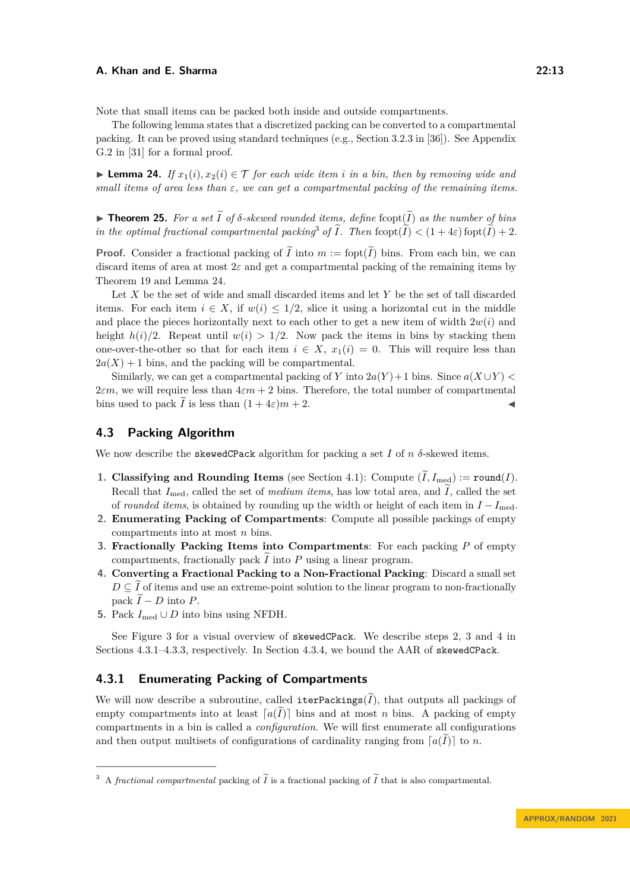Note that small items can be packed both inside and outside compartments.

The following lemma states that a discretized packing can be converted to a compartmental packing. It can be proved using standard techniques (e.g., Section 3.2.3 in [\[36\]](#page-17-18)). See Appendix G.2 in [\[31\]](#page-17-15) for a formal proof.

<span id="page-12-1"></span>▶ **Lemma 24.** *If*  $x_1(i), x_2(i) \in T$  *for each wide item i in a bin, then by removing wide and small items of area less than ε, we can get a compartmental packing of the remaining items.*

<span id="page-12-6"></span> $\blacktriangleright$  **Theorem 25.** For a set  $\widetilde{I}$  of  $\delta$ -skewed rounded items, define fcopt( $\widetilde{I}$ ) as the number of bins *in the optimal fractional compartmental packing<sup>[3](#page-12-0)</sup> of*  $\tilde{I}$ *. Then fcopt* $(\tilde{I}) < (1 + 4\varepsilon)$  *fopt* $(\tilde{I}) + 2$ *.* 

**Proof.** Consider a fractional packing of  $\tilde{I}$  into  $m :=$  fopt $(\tilde{I})$  bins. From each bin, we can discard items of area at most  $2\varepsilon$  and get a compartmental packing of the remaining items by Theorem [19](#page-10-1) and Lemma [24.](#page-12-1)

Let *X* be the set of wide and small discarded items and let *Y* be the set of tall discarded items. For each item  $i \in X$ , if  $w(i) \leq 1/2$ , slice it using a horizontal cut in the middle and place the pieces horizontally next to each other to get a new item of width  $2w(i)$  and height  $h(i)/2$ . Repeat until  $w(i) > 1/2$ . Now pack the items in bins by stacking them one-over-the-other so that for each item  $i \in X$ ,  $x_1(i) = 0$ . This will require less than  $2a(X) + 1$  bins, and the packing will be compartmental.

Similarly, we can get a compartmental packing of *Y* into  $2a(Y) + 1$  bins. Since  $a(X \cup Y)$  $2\varepsilon m$ , we will require less than  $4\varepsilon m + 2$  bins. Therefore, the total number of compartmental bins used to pack  $\tilde{I}$  is less than  $(1 + 4\varepsilon)m + 2$ .

# **4.3 Packing Algorithm**

We now describe the skewedCPack algorithm for packing a set  $I$  of  $n \delta$ -skewed items.

- **1. Classifying and Rounding Items** (see Section [4.1\)](#page-9-1): Compute  $(\widetilde{I}, I_{\text{med}}) := \text{round}(I)$ . Recall that  $I_{\text{med}}$ , called the set of *medium items*, has low total area, and  $\tilde{I}$ , called the set of *rounded items*, is obtained by rounding up the width or height of each item in  $I - I_{\text{med}}$ .
- <span id="page-12-2"></span>**2. Enumerating Packing of Compartments**: Compute all possible packings of empty compartments into at most *n* bins.
- <span id="page-12-3"></span>**3. Fractionally Packing Items into Compartments**: For each packing *P* of empty compartments, fractionally pack  $I$  into  $P$  using a linear program.
- <span id="page-12-4"></span>**4. Converting a Fractional Packing to a Non-Fractional Packing**: Discard a small set  $D \subseteq I$  of items and use an extreme-point solution to the linear program to non-fractionally pack  $\widetilde{I}$  − *D* into *P*.
- **5.** Pack  $I_{\text{med}} ∪ D$  into bins using NFDH.

See Figure [3](#page-13-0) for a visual overview of skewedCPack. We describe steps [2,](#page-12-2) [3](#page-12-3) and [4](#page-12-4) in Sections [4.3.1–](#page-12-5)[4.3.3,](#page-14-0) respectively. In Section [4.3.4,](#page-15-0) we bound the AAR of skewedCPack.

# <span id="page-12-5"></span>**4.3.1 Enumerating Packing of Compartments**

We will now describe a subroutine, called iterPackings( $\tilde{I}$ ), that outputs all packings of empty compartments into at least  $[a(I)]$  bins and at most *n* bins. A packing of empty compartments in a bin is called a *configuration*. We will first enumerate all configurations and then output multisets of configurations of cardinality ranging from  $[a(I)]$  to *n*.

<span id="page-12-0"></span><sup>&</sup>lt;sup>3</sup> A *fractional compartmental* packing of  $\widetilde{I}$  is a fractional packing of  $\widetilde{I}$  that is also compartmental.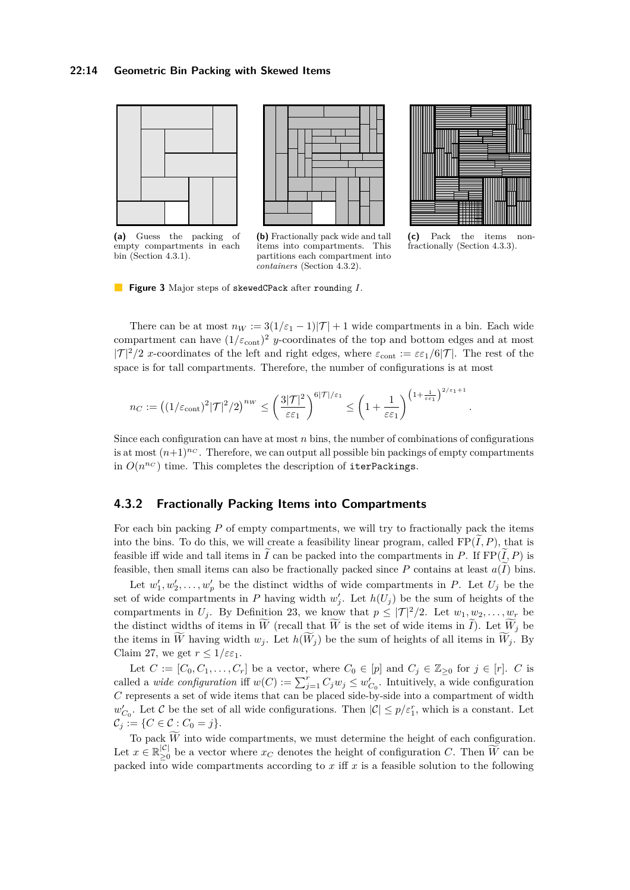<span id="page-13-0"></span>



**(a)** Guess the packing of empty compartments in each bin (Section [4.3.1\)](#page-12-5).

**(b)** Fractionally pack wide and tall items into compartments. This partitions each compartment into *containers* (Section [4.3.2\)](#page-13-1).



**(c)** Pack the items nonfractionally (Section [4.3.3\)](#page-14-0).

*.*

**Figure 3** Major steps of skewedCPack after rounding *I*.

There can be at most  $n_W := 3(1/\varepsilon_1 - 1)|\mathcal{T}| + 1$  wide compartments in a bin. Each wide compartment can have  $(1/\varepsilon_{\text{cont}})^2$  *y*-coordinates of the top and bottom edges and at most  $|T|^2/2$  *x*-coordinates of the left and right edges, where  $\varepsilon_{\text{cont}} := \varepsilon \varepsilon_1/6|T|$ . The rest of the space is for tall compartments. Therefore, the number of configurations is at most

$$
n_C := \left( (1/\varepsilon_{\text{cont}})^2 |\mathcal{T}|^2 / 2 \right)^{n_W} \le \left( \frac{3|\mathcal{T}|^2}{\varepsilon \varepsilon_1} \right)^{6|\mathcal{T}|/\varepsilon_1} \le \left( 1 + \frac{1}{\varepsilon \varepsilon_1} \right)^{\left( 1 + \frac{1}{\varepsilon \varepsilon_1} \right)^{2/\varepsilon_1 + 1}}
$$

Since each configuration can have at most *n* bins, the number of combinations of configurations is at most  $(n+1)^{n}C$ . Therefore, we can output all possible bin packings of empty compartments in  $O(n^{n_C})$  time. This completes the description of iterPackings.

# <span id="page-13-1"></span>**4.3.2 Fractionally Packing Items into Compartments**

For each bin packing *P* of empty compartments, we will try to fractionally pack the items into the bins. To do this, we will create a feasibility linear program, called  $FP(\tilde{I}, P)$ , that is feasible iff wide and tall items in  $\tilde{I}$  can be packed into the compartments in *P*. If FP( $\tilde{I}$ , *P*) is feasible, then small items can also be fractionally packed since  $P$  contains at least  $a(I)$  bins.

Let  $w'_1, w'_2, \ldots, w'_p$  be the distinct widths of wide compartments in *P*. Let  $U_j$  be the set of wide compartments in *P* having width  $w'_{j}$ . Let  $h(U_{j})$  be the sum of heights of the compartments in  $U_j$ . By Definition [23,](#page-11-0) we know that  $p \leq |\mathcal{T}|^2/2$ . Let  $w_1, w_2, \ldots, w_r$  be the distinct widths of items in  $\tilde{W}$  (recall that  $\tilde{W}$  is the set of wide items in  $\tilde{I}$ ). Let  $\tilde{W}_j$  be the items in  $\widetilde{W}$  having width  $w_j$ . Let  $h(\widetilde{W}_j)$  be the sum of heights of all items in  $\widetilde{W}_j$ . By Claim [27,](#page-18-4) we get  $r \leq 1/\varepsilon \varepsilon_1$ .

Let  $C := [C_0, C_1, \ldots, C_r]$  be a vector, where  $C_0 \in [p]$  and  $C_j \in \mathbb{Z}_{\geq 0}$  for  $j \in [r]$ . *C* is called a *wide configuration* iff  $w(C) := \sum_{j=1}^{r} C_j w_j \leq w'_{C_0}$ . Intuitively, a wide configuration *C* represents a set of wide items that can be placed side-by-side into a compartment of width  $w'_{C_0}$ . Let C be the set of all wide configurations. Then  $|C| \leq p/\varepsilon_1^r$ , which is a constant. Let  $C_j := \{ C \in \mathcal{C} : C_0 = j \}.$ 

To pack  $\widetilde{W}$  into wide compartments, we must determine the height of each configuration. Let  $x \in \mathbb{R}_{\geq 0}^{|\mathcal{C}|}$  $\frac{|\mathcal{C}|}{|\mathcal{C}|}$  be a vector where  $x_C$  denotes the height of configuration *C*. Then *W* can be packed into wide compartments according to *x* iff *x* is a feasible solution to the following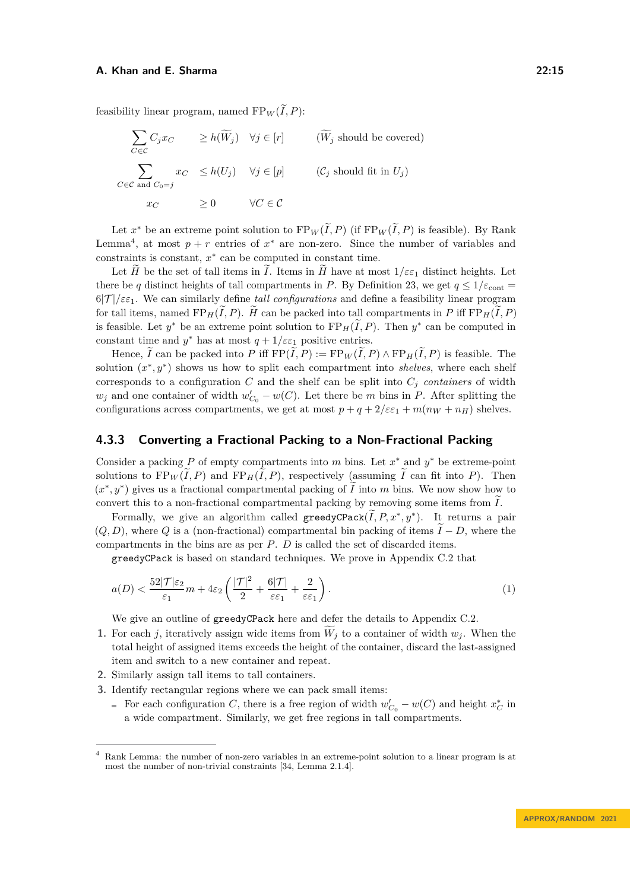feasibility linear program, named  $FP_W(I, P)$ :

$$
\sum_{C \in \mathcal{C}} C_j x_C \ge h(\widetilde{W}_j) \quad \forall j \in [r] \quad (\widetilde{W}_j \text{ should be covered})
$$
\n
$$
\sum_{C \in \mathcal{C} \text{ and } C_0 = j} x_C \le h(U_j) \quad \forall j \in [p] \quad (C_j \text{ should fit in } U_j)
$$
\n
$$
x_C \ge 0 \quad \forall C \in \mathcal{C}
$$

Let  $x^*$  be an extreme point solution to  $FP_W(\tilde{I}, P)$  (if  $FP_W(\tilde{I}, P)$  is feasible). By Rank Lemma<sup>[4](#page-14-1)</sup>, at most  $p + r$  entries of  $x^*$  are non-zero. Since the number of variables and constraints is constant, *x* ∗ can be computed in constant time.

Let  $\widetilde{H}$  be the set of tall items in  $\widetilde{I}$ . Items in  $\widetilde{H}$  have at most  $1/\varepsilon \varepsilon_1$  distinct heights. Let there be *q* distinct heights of tall compartments in *P*. By Definition [23,](#page-11-0) we get  $q \leq 1/\varepsilon_{\text{cont}} =$ 6|T |*/εε*1. We can similarly define *tall configurations* and define a feasibility linear program for tall items, named  $FP_H(\tilde{I}, P)$ .  $\tilde{H}$  can be packed into tall compartments in P iff  $FP_H(\tilde{I}, P)$ is feasible. Let  $y^*$  be an extreme point solution to  $\text{FP}_H(\tilde{I}, P)$ . Then  $y^*$  can be computed in constant time and  $y^*$  has at most  $q + 1/\varepsilon \varepsilon_1$  positive entries.

Hence,  $\tilde{I}$  can be packed into P iff  $\text{FP}(\tilde{I}, P) := \text{FP}_W(\tilde{I}, P) \wedge \text{FP}_H(\tilde{I}, P)$  is feasible. The solution  $(x^*, y^*)$  shows us how to split each compartment into *shelves*, where each shelf corresponds to a configuration  $C$  and the shelf can be split into  $C_j$  *containers* of width  $w_j$  and one container of width  $w'_{C_0} - w(C)$ . Let there be *m* bins in *P*. After splitting the configurations across compartments, we get at most  $p + q + 2/\varepsilon \varepsilon_1 + m(n_W + n_H)$  shelves.

# <span id="page-14-0"></span>**4.3.3 Converting a Fractional Packing to a Non-Fractional Packing**

Consider a packing  $P$  of empty compartments into  $m$  bins. Let  $x^*$  and  $y^*$  be extreme-point solutions to  $FP_W(\widetilde{I}, P)$  and  $FP_H(\widetilde{I}, P)$ , respectively (assuming  $\widetilde{I}$  can fit into *P*). Then  $(x^*, y^*)$  gives us a fractional compartmental packing of  $\widetilde{I}$  into  $m$  bins. We now show how to convert this to a non-fractional compartmental packing by removing some items from  $\tilde{I}$ .

Formally, we give an algorithm called greedyCPack $(\widetilde{I}, P, x^*, y^*)$ . It returns a pair  $(Q, D)$ , where  $Q$  is a (non-fractional) compartmental bin packing of items  $I - D$ , where the compartments in the bins are as per *P*. *D* is called the set of discarded items.

greedyCPack is based on standard techniques. We prove in Appendix [C.2](#page-20-0) that

<span id="page-14-2"></span>
$$
a(D) < \frac{52|\mathcal{T}|\varepsilon_2}{\varepsilon_1}m + 4\varepsilon_2 \left(\frac{|\mathcal{T}|^2}{2} + \frac{6|\mathcal{T}|}{\varepsilon\varepsilon_1} + \frac{2}{\varepsilon\varepsilon_1}\right). \tag{1}
$$

We give an outline of greedyCPack here and defer the details to Appendix [C.2.](#page-20-0)

- **1.** For each *j*, iteratively assign wide items from  $\widetilde{W}_i$  to a container of width  $w_i$ . When the total height of assigned items exceeds the height of the container, discard the last-assigned item and switch to a new container and repeat.
- **2.** Similarly assign tall items to tall containers.
- **3.** Identify rectangular regions where we can pack small items:
	- For each configuration *C*, there is a free region of width  $w'_{C_0} w(C)$  and height  $x_C^*$  in a wide compartment. Similarly, we get free regions in tall compartments.

<span id="page-14-1"></span><sup>4</sup> Rank Lemma: the number of non-zero variables in an extreme-point solution to a linear program is at most the number of non-trivial constraints [\[34,](#page-17-17) Lemma 2.1.4].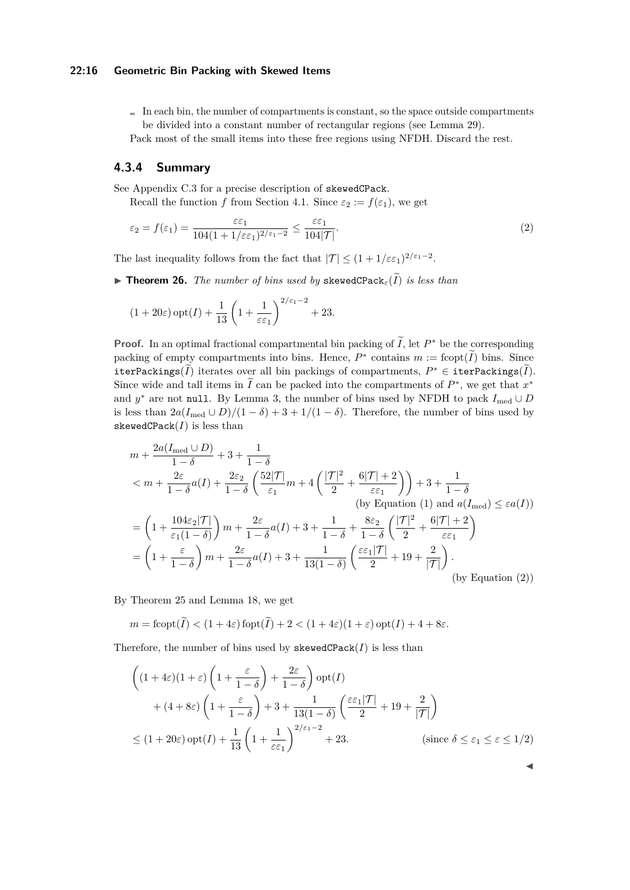#### **22:16 Geometric Bin Packing with Skewed Items**

- $\blacksquare$  In each bin, the number of compartments is constant, so the space outside compartments be divided into a constant number of rectangular regions (see Lemma [29\)](#page-20-1). Pack most of the small items into these free regions using NFDH. Discard the rest.
	-

# <span id="page-15-0"></span>**4.3.4 Summary**

See Appendix [C.3](#page-21-1) for a precise description of skewedCPack.

Recall the function *f* from Section [4.1.](#page-9-1) Since  $\varepsilon_2 := f(\varepsilon_1)$ , we get

<span id="page-15-1"></span>
$$
\varepsilon_2 = f(\varepsilon_1) = \frac{\varepsilon \varepsilon_1}{104(1 + 1/\varepsilon \varepsilon_1)^{2/\varepsilon_1 - 2}} \le \frac{\varepsilon \varepsilon_1}{104|\mathcal{T}|}.\tag{2}
$$

The last inequality follows from the fact that  $|\mathcal{T}| \leq (1 + 1/\varepsilon \varepsilon_1)^{2/\varepsilon_1 - 2}$ .

**• Theorem 26.** *The number of bins used by* skewedCPack<sub>ε</sub> $(\widetilde{I})$  *is less than* 

$$
(1+20\varepsilon)\,\mathrm{opt}(I) + \frac{1}{13}\left(1+\frac{1}{\varepsilon\varepsilon_1}\right)^{2/\varepsilon_1-2} + 23.
$$

**Proof.** In an optimal fractional compartmental bin packing of  $\tilde{I}$ , let  $P^*$  be the corresponding packing of empty compartments into bins. Hence,  $P^*$  contains  $m := \text{fcopt}(\tilde{I})$  bins. Since  $\text{iterPacking}(\tilde{I})$  iterates over all bin packings of compartments,  $P^* \in \text{iterPacking}(\tilde{I})$ . Since wide and tall items in  $\tilde{I}$  can be packed into the compartments of  $P^*$ , we get that  $x^*$ and  $y^*$  are not null. By Lemma [3,](#page-3-1) the number of bins used by NFDH to pack  $I_{\text{med}} \cup D$ is less than  $2a(I_{\text{med}} \cup D)/(1 - \delta) + 3 + 1/(1 - \delta)$ . Therefore, the number of bins used by skewedCPack $(I)$  is less than

$$
m + \frac{2a(I_{\text{med}} \cup D)}{1 - \delta} + 3 + \frac{1}{1 - \delta}
$$
  
\n
$$
< m + \frac{2\varepsilon}{1 - \delta}a(I) + \frac{2\varepsilon_2}{1 - \delta} \left(\frac{52|\mathcal{T}|}{\varepsilon_1}m + 4\left(\frac{|\mathcal{T}|^2}{2} + \frac{6|\mathcal{T}| + 2}{\varepsilon \varepsilon_1}\right)\right) + 3 + \frac{1}{1 - \delta}
$$
  
\n(by Equation (1) and  $a(I_{\text{med}}) \le \varepsilon a(I)$ )  
\n
$$
= \left(1 + \frac{104\varepsilon_2|\mathcal{T}|}{\varepsilon_1(1 - \delta)}\right)m + \frac{2\varepsilon}{1 - \delta}a(I) + 3 + \frac{1}{1 - \delta} + \frac{8\varepsilon_2}{1 - \delta} \left(\frac{|\mathcal{T}|^2}{2} + \frac{6|\mathcal{T}| + 2}{\varepsilon \varepsilon_1}\right)
$$
  
\n
$$
= \left(1 + \frac{\varepsilon}{1 - \delta}\right)m + \frac{2\varepsilon}{1 - \delta}a(I) + 3 + \frac{1}{13(1 - \delta)} \left(\frac{\varepsilon \varepsilon_1|\mathcal{T}|}{2} + 19 + \frac{2}{|\mathcal{T}|}\right).
$$
  
\n(by Equation (2))

By Theorem [25](#page-12-6) and Lemma [18,](#page-10-2) we get

$$
m = \text{fcopt}(\widetilde{I}) < (1 + 4\varepsilon)\,\text{fopt}(\widetilde{I}) + 2 < (1 + 4\varepsilon)(1 + \varepsilon)\,\text{opt}(I) + 4 + 8\varepsilon.
$$

Therefore, the number of bins used by  $skewedCPack(I)$  is less than

$$
\left( (1+4\varepsilon)(1+\varepsilon) \left( 1 + \frac{\varepsilon}{1-\delta} \right) + \frac{2\varepsilon}{1-\delta} \right) \operatorname{opt}(I)
$$
  
+ 
$$
(4+8\varepsilon) \left( 1 + \frac{\varepsilon}{1-\delta} \right) + 3 + \frac{1}{13(1-\delta)} \left( \frac{\varepsilon \varepsilon_1 |\mathcal{T}|}{2} + 19 + \frac{2}{|\mathcal{T}|} \right)
$$
  

$$
\leq (1+20\varepsilon) \operatorname{opt}(I) + \frac{1}{13} \left( 1 + \frac{1}{\varepsilon \varepsilon_1} \right)^{2/\varepsilon_1 - 2} + 23.
$$
 (since  $\delta \leq \varepsilon_1 \leq \varepsilon \leq 1/2$ )

◀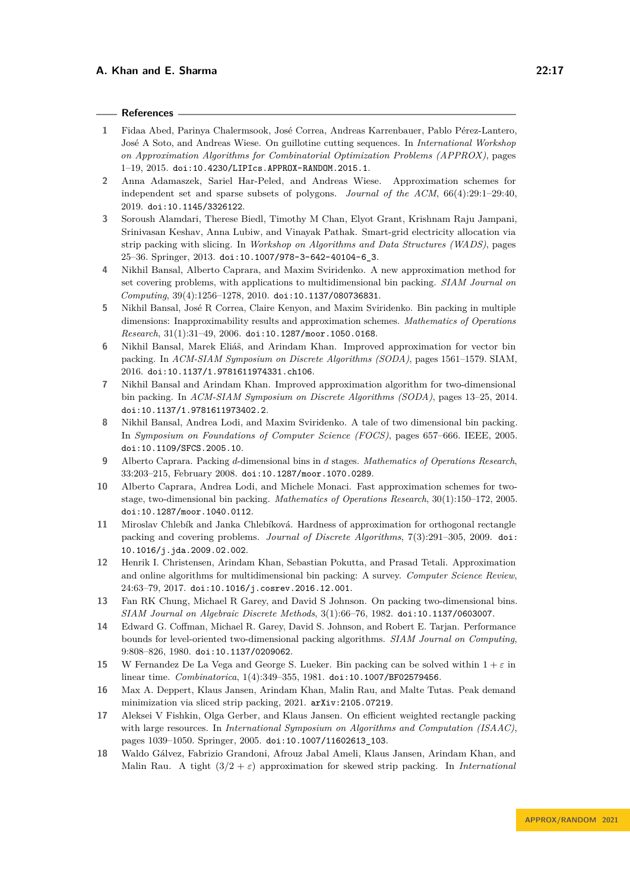#### **References**

- <span id="page-16-14"></span>**1** Fidaa Abed, Parinya Chalermsook, José Correa, Andreas Karrenbauer, Pablo Pérez-Lantero, José A Soto, and Andreas Wiese. On guillotine cutting sequences. In *International Workshop on Approximation Algorithms for Combinatorial Optimization Problems (APPROX)*, pages 1–19, 2015. [doi:10.4230/LIPIcs.APPROX-RANDOM.2015.1](https://doi.org/10.4230/LIPIcs.APPROX-RANDOM.2015.1).
- <span id="page-16-13"></span>**2** Anna Adamaszek, Sariel Har-Peled, and Andreas Wiese. Approximation schemes for independent set and sparse subsets of polygons. *Journal of the ACM*, 66(4):29:1–29:40, 2019. [doi:10.1145/3326122](https://doi.org/10.1145/3326122).
- <span id="page-16-16"></span>**3** Soroush Alamdari, Therese Biedl, Timothy M Chan, Elyot Grant, Krishnam Raju Jampani, Srinivasan Keshav, Anna Lubiw, and Vinayak Pathak. Smart-grid electricity allocation via strip packing with slicing. In *Workshop on Algorithms and Data Structures (WADS)*, pages 25–36. Springer, 2013. [doi:10.1007/978-3-642-40104-6\\_3](https://doi.org/10.1007/978-3-642-40104-6_3).
- <span id="page-16-4"></span>**4** Nikhil Bansal, Alberto Caprara, and Maxim Sviridenko. A new approximation method for set covering problems, with applications to multidimensional bin packing. *SIAM Journal on Computing*, 39(4):1256–1278, 2010. [doi:10.1137/080736831](https://doi.org/10.1137/080736831).
- <span id="page-16-1"></span>**5** Nikhil Bansal, José R Correa, Claire Kenyon, and Maxim Sviridenko. Bin packing in multiple dimensions: Inapproximability results and approximation schemes. *Mathematics of Operations Research*, 31(1):31–49, 2006. [doi:10.1287/moor.1050.0168](https://doi.org/10.1287/moor.1050.0168).
- <span id="page-16-12"></span>**6** Nikhil Bansal, Marek Eliáš, and Arindam Khan. Improved approximation for vector bin packing. In *ACM-SIAM Symposium on Discrete Algorithms (SODA)*, pages 1561–1579. SIAM, 2016. [doi:10.1137/1.9781611974331.ch106](https://doi.org/10.1137/1.9781611974331.ch106).
- <span id="page-16-5"></span>**7** Nikhil Bansal and Arindam Khan. Improved approximation algorithm for two-dimensional bin packing. In *ACM-SIAM Symposium on Discrete Algorithms (SODA)*, pages 13–25, 2014. [doi:10.1137/1.9781611973402.2](https://doi.org/10.1137/1.9781611973402.2).
- <span id="page-16-8"></span>**8** Nikhil Bansal, Andrea Lodi, and Maxim Sviridenko. A tale of two dimensional bin packing. In *Symposium on Foundations of Computer Science (FOCS)*, pages 657–666. IEEE, 2005. [doi:10.1109/SFCS.2005.10](https://doi.org/10.1109/SFCS.2005.10).
- <span id="page-16-3"></span>**9** Alberto Caprara. Packing *d*-dimensional bins in *d* stages. *Mathematics of Operations Research*, 33:203–215, February 2008. [doi:10.1287/moor.1070.0289](https://doi.org/10.1287/moor.1070.0289).
- <span id="page-16-7"></span>**10** Alberto Caprara, Andrea Lodi, and Michele Monaci. Fast approximation schemes for twostage, two-dimensional bin packing. *Mathematics of Operations Research*, 30(1):150–172, 2005. [doi:10.1287/moor.1040.0112](https://doi.org/10.1287/moor.1040.0112).
- <span id="page-16-6"></span>**11** Miroslav Chlebík and Janka Chlebíková. Hardness of approximation for orthogonal rectangle packing and covering problems. *Journal of Discrete Algorithms*, 7(3):291–305, 2009. [doi:](https://doi.org/10.1016/j.jda.2009.02.002) [10.1016/j.jda.2009.02.002](https://doi.org/10.1016/j.jda.2009.02.002).
- <span id="page-16-11"></span>**12** Henrik I. Christensen, Arindam Khan, Sebastian Pokutta, and Prasad Tetali. Approximation and online algorithms for multidimensional bin packing: A survey. *Computer Science Review*, 24:63–79, 2017. [doi:10.1016/j.cosrev.2016.12.001](https://doi.org/10.1016/j.cosrev.2016.12.001).
- <span id="page-16-2"></span>**13** Fan RK Chung, Michael R Garey, and David S Johnson. On packing two-dimensional bins. *SIAM Journal on Algebraic Discrete Methods*, 3(1):66–76, 1982. [doi:10.1137/0603007](https://doi.org/10.1137/0603007).
- <span id="page-16-9"></span>**14** Edward G. Coffman, Michael R. Garey, David S. Johnson, and Robert E. Tarjan. Performance bounds for level-oriented two-dimensional packing algorithms. *SIAM Journal on Computing*, 9:808–826, 1980. [doi:10.1137/0209062](https://doi.org/10.1137/0209062).
- <span id="page-16-0"></span>**15** W Fernandez De La Vega and George S. Lueker. Bin packing can be solved within  $1 + \varepsilon$  in linear time. *Combinatorica*, 1(4):349–355, 1981. [doi:10.1007/BF02579456](https://doi.org/10.1007/BF02579456).
- <span id="page-16-17"></span>**16** Max A. Deppert, Klaus Jansen, Arindam Khan, Malin Rau, and Malte Tutas. Peak demand minimization via sliced strip packing, 2021. [arXiv:2105.07219](http://arxiv.org/abs/2105.07219).
- <span id="page-16-15"></span>**17** Aleksei V Fishkin, Olga Gerber, and Klaus Jansen. On efficient weighted rectangle packing with large resources. In *International Symposium on Algorithms and Computation (ISAAC)*, pages 1039–1050. Springer, 2005. [doi:10.1007/11602613\\_103](https://doi.org/10.1007/11602613_103).
- <span id="page-16-10"></span>**18** Waldo Gálvez, Fabrizio Grandoni, Afrouz Jabal Ameli, Klaus Jansen, Arindam Khan, and Malin Rau. A tight  $(3/2 + \varepsilon)$  approximation for skewed strip packing. In *International*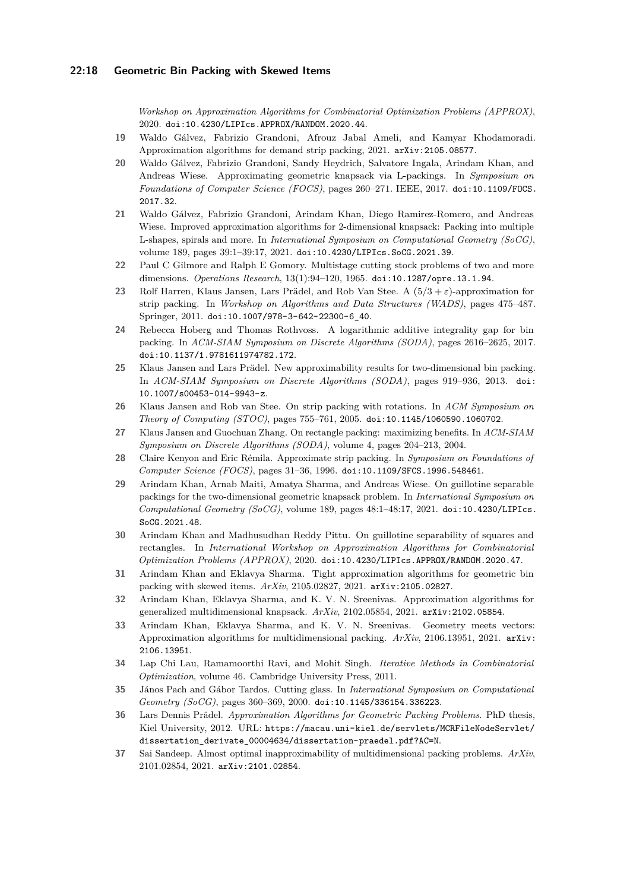*Workshop on Approximation Algorithms for Combinatorial Optimization Problems (APPROX)*, 2020. [doi:10.4230/LIPIcs.APPROX/RANDOM.2020.44](https://doi.org/10.4230/LIPIcs.APPROX/RANDOM.2020.44).

- <span id="page-17-16"></span>**19** Waldo Gálvez, Fabrizio Grandoni, Afrouz Jabal Ameli, and Kamyar Khodamoradi. Approximation algorithms for demand strip packing, 2021. [arXiv:2105.08577](http://arxiv.org/abs/2105.08577).
- <span id="page-17-10"></span>**20** Waldo Gálvez, Fabrizio Grandoni, Sandy Heydrich, Salvatore Ingala, Arindam Khan, and Andreas Wiese. Approximating geometric knapsack via L-packings. In *Symposium on Foundations of Computer Science (FOCS)*, pages 260–271. IEEE, 2017. [doi:10.1109/FOCS.](https://doi.org/10.1109/FOCS.2017.32) [2017.32](https://doi.org/10.1109/FOCS.2017.32).
- <span id="page-17-11"></span>**21** Waldo Gálvez, Fabrizio Grandoni, Arindam Khan, Diego Ramirez-Romero, and Andreas Wiese. Improved approximation algorithms for 2-dimensional knapsack: Packing into multiple L-shapes, spirals and more. In *International Symposium on Computational Geometry (SoCG)*, volume 189, pages 39:1–39:17, 2021. [doi:10.4230/LIPIcs.SoCG.2021.39](https://doi.org/10.4230/LIPIcs.SoCG.2021.39).
- <span id="page-17-2"></span>**22** Paul C Gilmore and Ralph E Gomory. Multistage cutting stock problems of two and more dimensions. *Operations Research*, 13(1):94–120, 1965. [doi:10.1287/opre.13.1.94](https://doi.org/10.1287/opre.13.1.94).
- <span id="page-17-6"></span>**23** Rolf Harren, Klaus Jansen, Lars Prädel, and Rob Van Stee. A (5*/*3 + *ε*)-approximation for strip packing. In *Workshop on Algorithms and Data Structures (WADS)*, pages 475–487. Springer, 2011. [doi:10.1007/978-3-642-22300-6\\_40](https://doi.org/10.1007/978-3-642-22300-6_40).
- <span id="page-17-0"></span>**24** Rebecca Hoberg and Thomas Rothvoss. A logarithmic additive integrality gap for bin packing. In *ACM-SIAM Symposium on Discrete Algorithms (SODA)*, pages 2616–2625, 2017. [doi:10.1137/1.9781611974782.172](https://doi.org/10.1137/1.9781611974782.172).
- <span id="page-17-1"></span>**25** Klaus Jansen and Lars Prädel. New approximability results for two-dimensional bin packing. In *ACM-SIAM Symposium on Discrete Algorithms (SODA)*, pages 919–936, 2013. [doi:](https://doi.org/10.1007/s00453-014-9943-z) [10.1007/s00453-014-9943-z](https://doi.org/10.1007/s00453-014-9943-z).
- <span id="page-17-8"></span>**26** Klaus Jansen and Rob van Stee. On strip packing with rotations. In *ACM Symposium on Theory of Computing (STOC)*, pages 755–761, 2005. [doi:10.1145/1060590.1060702](https://doi.org/10.1145/1060590.1060702).
- <span id="page-17-9"></span>**27** Klaus Jansen and Guochuan Zhang. On rectangle packing: maximizing benefits. In *ACM-SIAM Symposium on Discrete Algorithms (SODA)*, volume 4, pages 204–213, 2004.
- <span id="page-17-7"></span>**28** Claire Kenyon and Eric Rémila. Approximate strip packing. In *Symposium on Foundations of Computer Science (FOCS)*, pages 31–36, 1996. [doi:10.1109/SFCS.1996.548461](https://doi.org/10.1109/SFCS.1996.548461).
- <span id="page-17-12"></span>**29** Arindam Khan, Arnab Maiti, Amatya Sharma, and Andreas Wiese. On guillotine separable packings for the two-dimensional geometric knapsack problem. In *International Symposium on Computational Geometry (SoCG)*, volume 189, pages 48:1–48:17, 2021. [doi:10.4230/LIPIcs.](https://doi.org/10.4230/LIPIcs.SoCG.2021.48) [SoCG.2021.48](https://doi.org/10.4230/LIPIcs.SoCG.2021.48).
- <span id="page-17-14"></span>**30** Arindam Khan and Madhusudhan Reddy Pittu. On guillotine separability of squares and rectangles. In *International Workshop on Approximation Algorithms for Combinatorial Optimization Problems (APPROX)*, 2020. [doi:10.4230/LIPIcs.APPROX/RANDOM.2020.47](https://doi.org/10.4230/LIPIcs.APPROX/RANDOM.2020.47).
- <span id="page-17-15"></span>**31** Arindam Khan and Eklavya Sharma. Tight approximation algorithms for geometric bin packing with skewed items. *ArXiv*, 2105.02827, 2021. [arXiv:2105.02827](http://arxiv.org/abs/2105.02827).
- <span id="page-17-5"></span>**32** Arindam Khan, Eklavya Sharma, and K. V. N. Sreenivas. Approximation algorithms for generalized multidimensional knapsack. *ArXiv*, 2102.05854, 2021. [arXiv:2102.05854](http://arxiv.org/abs/2102.05854).
- <span id="page-17-4"></span>**33** Arindam Khan, Eklavya Sharma, and K. V. N. Sreenivas. Geometry meets vectors: Approximation algorithms for multidimensional packing. *ArXiv*, 2106.13951, 2021. [arXiv:](http://arxiv.org/abs/2106.13951) [2106.13951](http://arxiv.org/abs/2106.13951).
- <span id="page-17-17"></span>**34** Lap Chi Lau, Ramamoorthi Ravi, and Mohit Singh. *Iterative Methods in Combinatorial Optimization*, volume 46. Cambridge University Press, 2011.
- <span id="page-17-13"></span>**35** János Pach and Gábor Tardos. Cutting glass. In *International Symposium on Computational Geometry (SoCG)*, pages 360–369, 2000. [doi:10.1145/336154.336223](https://doi.org/10.1145/336154.336223).
- <span id="page-17-18"></span>**36** Lars Dennis Prädel. *Approximation Algorithms for Geometric Packing Problems*. PhD thesis, Kiel University, 2012. URL: [https://macau.uni-kiel.de/servlets/MCRFileNodeServlet/](https://macau.uni-kiel.de/servlets/MCRFileNodeServlet/dissertation_derivate_00004634/dissertation-praedel.pdf?AC=N) [dissertation\\_derivate\\_00004634/dissertation-praedel.pdf?AC=N](https://macau.uni-kiel.de/servlets/MCRFileNodeServlet/dissertation_derivate_00004634/dissertation-praedel.pdf?AC=N).
- <span id="page-17-3"></span>**37** Sai Sandeep. Almost optimal inapproximability of multidimensional packing problems. *ArXiv*, 2101.02854, 2021. [arXiv:2101.02854](http://arxiv.org/abs/2101.02854).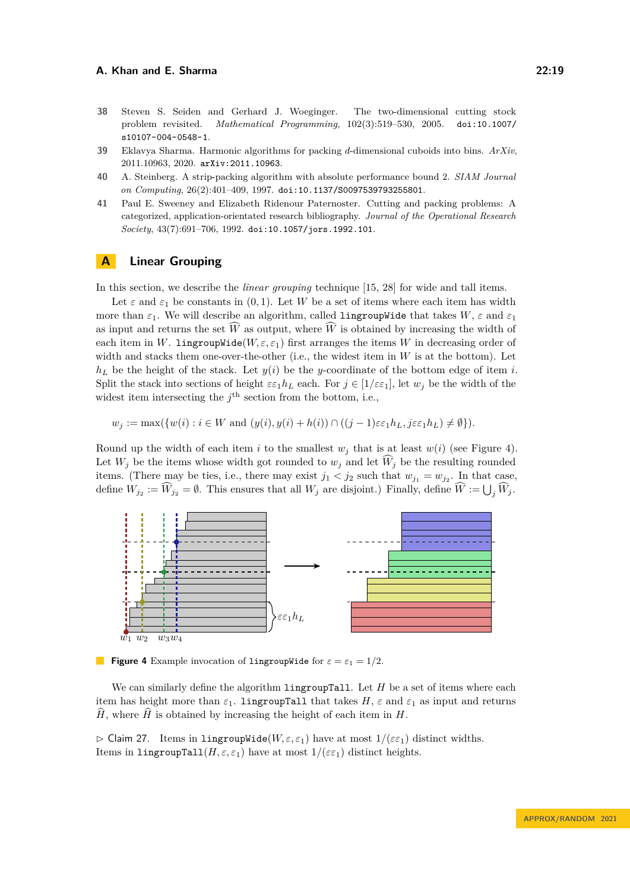- <span id="page-18-3"></span>**38** Steven S. Seiden and Gerhard J. Woeginger. The two-dimensional cutting stock problem revisited. *Mathematical Programming*, 102(3):519–530, 2005. [doi:10.1007/](https://doi.org/10.1007/s10107-004-0548-1) [s10107-004-0548-1](https://doi.org/10.1007/s10107-004-0548-1).
- <span id="page-18-2"></span>**39** Eklavya Sharma. Harmonic algorithms for packing *d*-dimensional cuboids into bins. *ArXiv*, 2011.10963, 2020. [arXiv:2011.10963](http://arxiv.org/abs/2011.10963).
- <span id="page-18-1"></span>**40** A. Steinberg. A strip-packing algorithm with absolute performance bound 2. *SIAM Journal on Computing*, 26(2):401–409, 1997. [doi:10.1137/S0097539793255801](https://doi.org/10.1137/S0097539793255801).
- <span id="page-18-0"></span>**41** Paul E. Sweeney and Elizabeth Ridenour Paternoster. Cutting and packing problems: A categorized, application-orientated research bibliography. *Journal of the Operational Research Society*, 43(7):691–706, 1992. [doi:10.1057/jors.1992.101](https://doi.org/10.1057/jors.1992.101).

### <span id="page-18-5"></span>**A Linear Grouping**

In this section, we describe the *linear grouping* technique [\[15,](#page-16-0) [28\]](#page-17-7) for wide and tall items.

Let  $\varepsilon$  and  $\varepsilon_1$  be constants in  $(0,1)$ . Let W be a set of items where each item has width more than  $\varepsilon_1$ . We will describe an algorithm, called **lingroupWide** that takes  $W$ ,  $\varepsilon$  and  $\varepsilon_1$ as input and returns the set  $\widehat{W}$  as output, where  $\widehat{W}$  is obtained by increasing the width of each item in *W*. **lingroupWide**( $W, \varepsilon, \varepsilon_1$ ) first arranges the items *W* in decreasing order of width and stacks them one-over-the-other (i.e., the widest item in *W* is at the bottom). Let  $h_L$  be the height of the stack. Let  $y(i)$  be the *y*-coordinate of the bottom edge of item *i*. Split the stack into sections of height  $\varepsilon \varepsilon_1 h_L$  each. For  $j \in [1/\varepsilon \varepsilon_1]$ , let  $w_j$  be the width of the widest item intersecting the  $j<sup>th</sup>$  section from the bottom, i.e.,

$$
w_j := \max(\{w(i) : i \in W \text{ and } (y(i), y(i) + h(i)) \cap ((j-1)\varepsilon \varepsilon_1 h_L, j\varepsilon \varepsilon_1 h_L) \neq \emptyset\}).
$$

Round up the width of each item *i* to the smallest  $w_j$  that is at least  $w(i)$  (see Figure [4\)](#page-18-7). Let  $W_i$  be the items whose width got rounded to  $w_i$  and let  $\widehat{W}_i$  be the resulting rounded items. (There may be ties, i.e., there may exist  $j_1 < j_2$  such that  $w_{j_1} = w_{j_2}$ . In that case, define  $W_{j_2} := W_{j_2} = \emptyset$ . This ensures that all  $W_j$  are disjoint.) Finally, define  $W := \bigcup_j W_j$ .

<span id="page-18-7"></span>

**Figure 4** Example invocation of lingroupWide for  $\varepsilon = \varepsilon_1 = 1/2$ .

We can similarly define the algorithm lingroupTall. Let *H* be a set of items where each item has height more than  $\varepsilon_1$ . **lingroupTall** that takes  $H$ ,  $\varepsilon$  and  $\varepsilon_1$  as input and returns  $\hat{H}$ , where  $\hat{H}$  is obtained by increasing the height of each item in *H*.

<span id="page-18-6"></span><span id="page-18-4"></span> $\triangleright$  Claim 27. Items in lingroupWide( $W, \varepsilon, \varepsilon_1$ ) have at most  $1/(\varepsilon \varepsilon_1)$  distinct widths. Items in lingroupTall $(H, \varepsilon, \varepsilon_1)$  have at most  $1/(\varepsilon \varepsilon_1)$  distinct heights.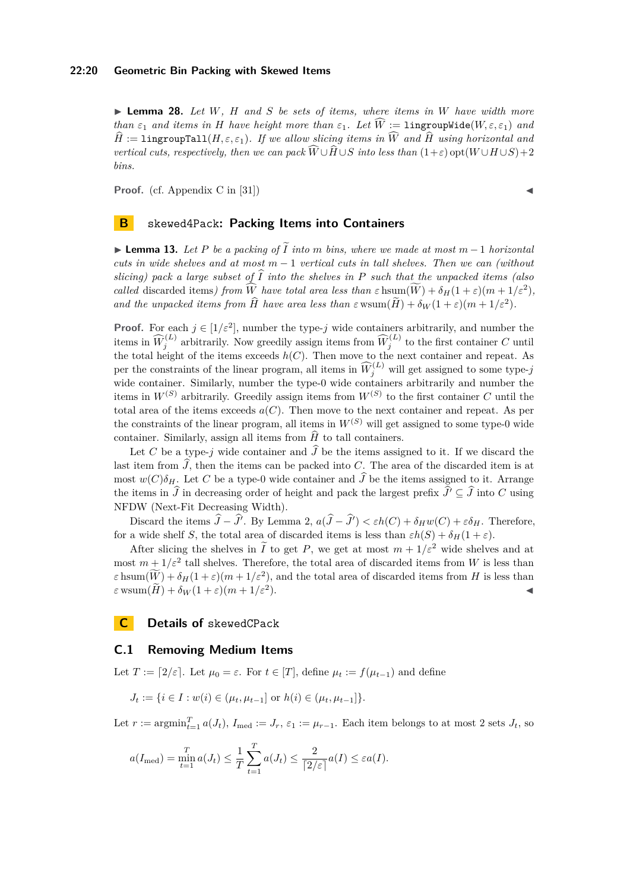▶ **Lemma 28.** *Let W, H and S be sets of items, where items in W have width more than*  $\varepsilon_1$  *and items in H have height more than*  $\varepsilon_1$ *. Let*  $\widehat{W}$  := lingroupWide( $W, \varepsilon, \varepsilon_1$ ) *and*  $\hat{H}$  := lingroupTall( $H, \varepsilon, \varepsilon_1$ )*. If we allow slicing items in*  $\widehat{W}$  *and*  $\widehat{H}$  *using horizontal and vertical cuts, respectively, then we can pack*  $\widehat{W} \cup \widehat{H} \cup S$  *into less than*  $(1+\varepsilon)$  opt $(W \cup H \cup S) + 2$ *bins.*

**Proof.** (cf. Appendix C in [\[31\]](#page-17-15))  $\triangleleft$ 

### <span id="page-19-0"></span>**B** skewed4Pack**: Packing Items into Containers**

▶ **Lemma 13.** *Let <sup>P</sup> be a packing of <sup>I</sup>*<sup>e</sup> *into <sup>m</sup> bins, where we made at most <sup>m</sup>* <sup>−</sup> <sup>1</sup> *horizontal cuts in wide shelves and at most m* − 1 *vertical cuts in tall shelves. Then we can (without slicing)* pack a large subset of  $\widehat{I}$  *into the shelves in*  $P$  *such that the unpacked items (also called* discarded items) from  $\widehat{W}$  *have total area less than*  $\varepsilon$  hsum $(\widehat{W}) + \delta_H(1+\varepsilon)(m+1/\varepsilon^2)$ , *and the unpacked items from*  $\hat{H}$  *have area less than*  $\varepsilon$  wsum $(\tilde{H}) + \delta_W(1+\varepsilon)(m+1/\varepsilon^2)$ .

**Proof.** For each  $j \in [1/\varepsilon^2]$ , number the type-*j* wide containers arbitrarily, and number the items in  $\widehat{W}_j^{(L)}$  arbitrarily. Now greedily assign items from  $\widehat{W}_j^{(L)}$  to the first container *C* until the total height of the items exceeds *h*(*C*). Then move to the next container and repeat. As per the constraints of the linear program, all items in  $\widehat{W}_j^{(L)}$  will get assigned to some type-*j* wide container. Similarly, number the type-0 wide containers arbitrarily and number the items in  $W^{(S)}$  arbitrarily. Greedily assign items from  $W^{(S)}$  to the first container *C* until the total area of the items exceeds  $a(C)$ . Then move to the next container and repeat. As per the constraints of the linear program, all items in  $W^{(S)}$  will get assigned to some type-0 wide container. Similarly, assign all items from  $\widehat{H}$  to tall containers.

Let *C* be a type-*j* wide container and  $\hat{J}$  be the items assigned to it. If we discard the last item from  $\tilde{J}$ , then the items can be packed into *C*. The area of the discarded item is at most  $w(C)\delta_H$ . Let *C* be a type-0 wide container and  $\widehat{J}$  be the items assigned to it. Arrange the items in  $\hat{J}$  in decreasing order of height and pack the largest prefix  $\hat{J}' \subseteq \hat{J}$  into *C* using NFDW (Next-Fit Decreasing Width).

Discard the items  $\hat{J} - \hat{J}'$ . By Lemma [2,](#page-3-2)  $a(\hat{J} - \hat{J}') < \varepsilon h(C) + \delta_H w(C) + \varepsilon \delta_H$ . Therefore, for a wide shelf *S*, the total area of discarded items is less than  $\varepsilon h(S) + \delta_H(1+\varepsilon)$ .

After slicing the shelves in  $\tilde{I}$  to get *P*, we get at most  $m + 1/\varepsilon^2$  wide shelves and at most  $m + 1/\varepsilon^2$  tall shelves. Therefore, the total area of discarded items from *W* is less than  $\epsilon$  hsum $(\widetilde{W}) + \delta_H(1+\epsilon)(m+1/\epsilon^2)$ , and the total area of discarded items from *H* is less than  $\varepsilon$  wsum $(\widetilde{H}) + \delta_W(1+\varepsilon)(m+1/\varepsilon^2)$ .  $\bullet$ 

**C Details of** skewedCPack

### <span id="page-19-1"></span>**C.1 Removing Medium Items**

Let  $T := [2/\varepsilon]$ . Let  $\mu_0 = \varepsilon$ . For  $t \in [T]$ , define  $\mu_t := f(\mu_{t-1})$  and define

$$
J_t := \{ i \in I : w(i) \in (\mu_t, \mu_{t-1}] \text{ or } h(i) \in (\mu_t, \mu_{t-1}] \}.
$$

Let  $r := \operatorname{argmin}_{t=1}^T a(J_t)$ ,  $I_{\text{med}} := J_r$ ,  $\varepsilon_1 := \mu_{r-1}$ . Each item belongs to at most 2 sets  $J_t$ , so

$$
a(I_{\text{med}}) = \min_{t=1}^{T} a(J_t) \leq \frac{1}{T} \sum_{t=1}^{T} a(J_t) \leq \frac{2}{\lceil 2/\varepsilon \rceil} a(I) \leq \varepsilon a(I).
$$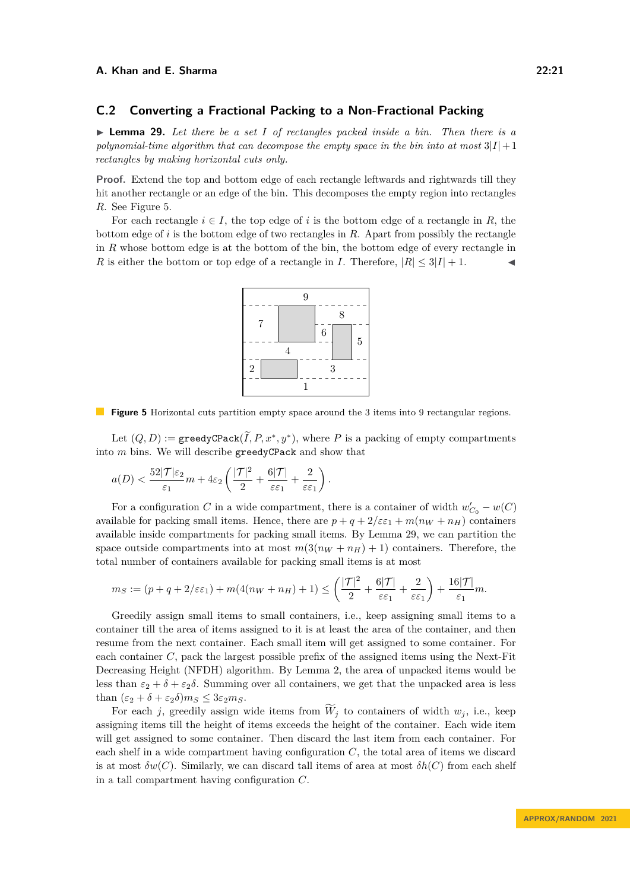### <span id="page-20-0"></span>**C.2 Converting a Fractional Packing to a Non-Fractional Packing**

<span id="page-20-1"></span>▶ **Lemma 29.** *Let there be a set I of rectangles packed inside a bin. Then there is a polynomial-time algorithm that can decompose the empty space in the bin into at most*  $3|I|+1$ *rectangles by making horizontal cuts only.*

**Proof.** Extend the top and bottom edge of each rectangle leftwards and rightwards till they hit another rectangle or an edge of the bin. This decomposes the empty region into rectangles *R*. See Figure [5.](#page-20-2)

<span id="page-20-2"></span>For each rectangle  $i \in I$ , the top edge of i is the bottom edge of a rectangle in R, the bottom edge of *i* is the bottom edge of two rectangles in *R*. Apart from possibly the rectangle in *R* whose bottom edge is at the bottom of the bin, the bottom edge of every rectangle in *R* is either the bottom or top edge of a rectangle in *I*. Therefore,  $|R| \leq 3|I| + 1$ .



**Figure 5** Horizontal cuts partition empty space around the 3 items into 9 rectangular regions.

Let  $(Q, D) := \text{greedyCPack}(\tilde{I}, P, x^*, y^*)$ , where *P* is a packing of empty compartments into *m* bins. We will describe greedyCPack and show that

$$
a(D)< \frac{52|\mathcal{T}|\varepsilon_2}{\varepsilon_1}m+4\varepsilon_2\left(\frac{|\mathcal{T}|^2}{2}+\frac{6|\mathcal{T}|}{\varepsilon\varepsilon_1}+\frac{2}{\varepsilon\varepsilon_1}\right).
$$

For a configuration *C* in a wide compartment, there is a container of width  $w'_{C_0} - w(C)$ available for packing small items. Hence, there are  $p + q + 2/\varepsilon \varepsilon_1 + m(n_W + n_H)$  containers available inside compartments for packing small items. By Lemma [29,](#page-20-1) we can partition the space outside compartments into at most  $m(3(n_W + n_H) + 1)$  containers. Therefore, the total number of containers available for packing small items is at most

$$
m_S := (p + q + 2/\varepsilon \varepsilon_1) + m(4(n_W + n_H) + 1) \leq \left(\frac{|\mathcal{T}|^2}{2} + \frac{6|\mathcal{T}|}{\varepsilon \varepsilon_1} + \frac{2}{\varepsilon \varepsilon_1}\right) + \frac{16|\mathcal{T}|}{\varepsilon_1}m.
$$

Greedily assign small items to small containers, i.e., keep assigning small items to a container till the area of items assigned to it is at least the area of the container, and then resume from the next container. Each small item will get assigned to some container. For each container *C*, pack the largest possible prefix of the assigned items using the Next-Fit Decreasing Height (NFDH) algorithm. By Lemma [2,](#page-3-2) the area of unpacked items would be less than  $\varepsilon_2 + \delta + \varepsilon_2\delta$ . Summing over all containers, we get that the unpacked area is less than  $(\varepsilon_2 + \delta + \varepsilon_2 \delta)m_S \leq 3\varepsilon_2 m_S$ .

For each *j*, greedily assign wide items from  $\widetilde{W}_j$  to containers of width  $w_j$ , i.e., keep assigning items till the height of items exceeds the height of the container. Each wide item will get assigned to some container. Then discard the last item from each container. For each shelf in a wide compartment having configuration *C*, the total area of items we discard is at most  $\delta w(C)$ . Similarly, we can discard tall items of area at most  $\delta h(C)$  from each shelf in a tall compartment having configuration *C*.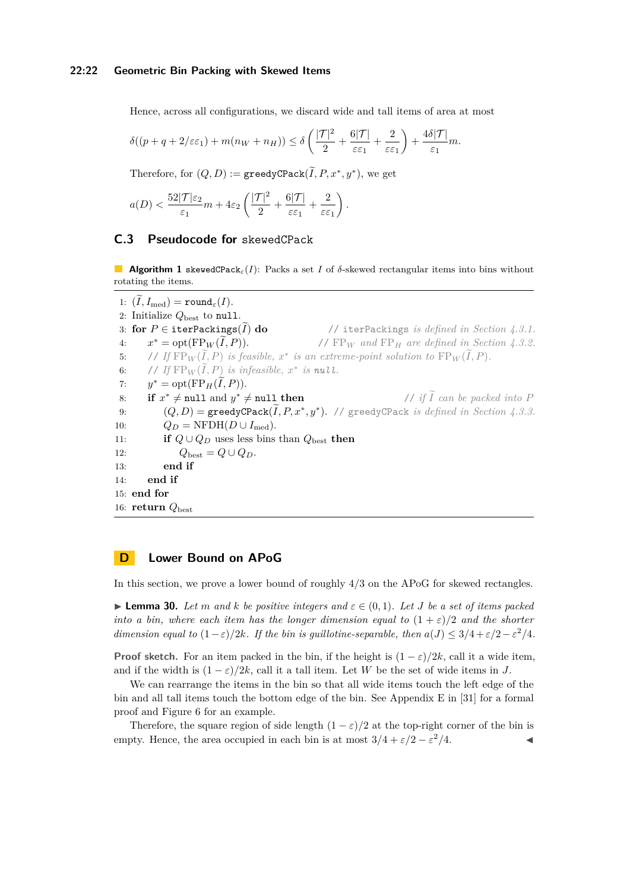Hence, across all configurations, we discard wide and tall items of area at most

$$
\delta((p+q+2/\varepsilon\varepsilon_1)+m(n_W+n_H))\leq \delta\left(\frac{|\mathcal{T}|^2}{2}+\frac{6|\mathcal{T}|}{\varepsilon\varepsilon_1}+\frac{2}{\varepsilon\varepsilon_1}\right)+\frac{4\delta|\mathcal{T}|}{\varepsilon_1}m.
$$

Therefore, for  $(Q, D) := \texttt{greedyCPack}(\tilde{I}, P, x^*, y^*)$ , we get

$$
a(D) < \frac{52|\mathcal{T}|\varepsilon_2}{\varepsilon_1}m + 4\varepsilon_2 \left(\frac{|\mathcal{T}|^2}{2} + \frac{6|\mathcal{T}|}{\varepsilon \varepsilon_1} + \frac{2}{\varepsilon \varepsilon_1}\right).
$$

# <span id="page-21-1"></span>**C.3 Pseudocode for** skewedCPack

**Algorithm 1** skewedCPack*ε*(*I*): Packs a set *I* of *δ*-skewed rectangular items into bins without rotating the items.

1:  $(\widetilde{I}, I_{\text{med}}) = \text{round}_{\varepsilon}(I).$ 2: Initialize  $Q_{\text{best}}$  to null. 3: **for**  $P \in \text{iterPacking}(\tilde{I})$  **do** // iterPackings *is defined in Section [4.3.1.](#page-12-5)*<br>4:  $x^* = \text{opt}(\text{FP}_W(\tilde{I}, P)).$  //  $\text{FP}_W$  and  $\text{FP}_H$  are defined in Section 4.3.2. 4: *x* <sup>∗</sup> = opt(FP*<sup>W</sup>* (*I, P* <sup>e</sup> )). // FP*<sup>W</sup> and* FP*<sup>H</sup> are defined in Section [4.3.2.](#page-13-1)* 5: // *If*  $FP_W(\tilde{I}, P)$  *is feasible,*  $x^*$  *is an extreme-point solution to*  $FP_W(\tilde{I}, P)$ . 6: // *If*  $\text{FP}_W(\tilde{I}, P)$  *is infeasible,*  $x^*$  *is null.* 7: *y*  $y^* = \text{opt}(\text{FP}_H(\tilde{I}, P)).$ 8: **if**  $x^* \neq \text{null}$  and *y*  $\frac{1}{i}$  *if*  $\widetilde{I}$  *can be packed into P* 9:  $(Q, D) = \text{greedyCPack}(\tilde{I}, P, x^*, y^*).$  // greedyCPack *is defined in Section [4.3.3.](#page-14-0)* 10:  $Q_D = \text{NFDH}(D \cup I_{\text{med}}).$ 11: **if**  $Q \cup Q_D$  uses less bins than  $Q_{\text{best}}$  **then** 12:  $Q_{\text{best}} = Q \cup Q_D.$ 13: **end if** 14: **end if** 15: **end for** 16: **return** *Q*best

# <span id="page-21-0"></span>**D Lower Bound on APoG**

<span id="page-21-2"></span>In this section, we prove a lower bound of roughly 4*/*3 on the APoG for skewed rectangles.

 $\blacktriangleright$  **Lemma 30.** Let m and k be positive integers and  $\varepsilon \in (0,1)$ . Let *J* be a set of items packed *into a bin, where each item has the longer dimension equal to*  $(1 + \varepsilon)/2$  *and the shorter dimension equal to*  $(1 - \varepsilon)/2k$ *. If the bin is guillotine-separable, then*  $a(J) \leq 3/4 + \varepsilon/2 - \varepsilon^2/4$ *.* 

**Proof sketch.** For an item packed in the bin, if the height is  $(1 - \varepsilon)/2k$ , call it a wide item, and if the width is  $(1 - \varepsilon)/2k$ , call it a tall item. Let *W* be the set of wide items in *J*.

We can rearrange the items in the bin so that all wide items touch the left edge of the bin and all tall items touch the bottom edge of the bin. See Appendix E in [\[31\]](#page-17-15) for a formal proof and Figure [6](#page-22-0) for an example.

Therefore, the square region of side length  $(1 - \varepsilon)/2$  at the top-right corner of the bin is empty. Hence, the area occupied in each bin is at most  $3/4 + \varepsilon/2 - \varepsilon^2/4$ .